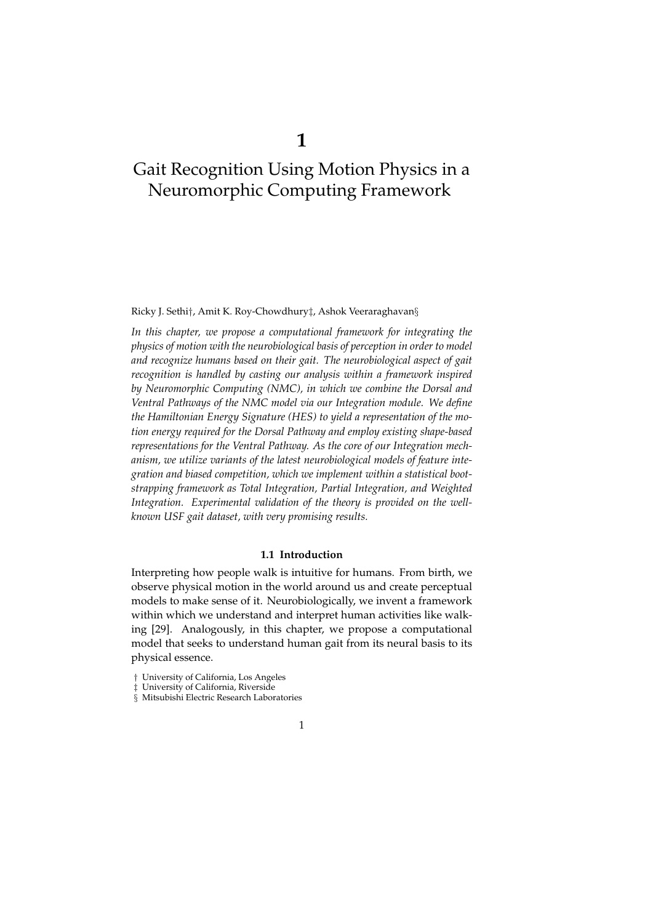Ricky J. Sethi†, Amit K. Roy-Chowdhury‡, Ashok Veeraraghavan§

*In this chapter, we propose a computational framework for integrating the physics of motion with the neurobiological basis of perception in order to model and recognize humans based on their gait. The neurobiological aspect of gait recognition is handled by casting our analysis within a framework inspired by Neuromorphic Computing (NMC), in which we combine the Dorsal and Ventral Pathways of the NMC model via our Integration module. We define the Hamiltonian Energy Signature (HES) to yield a representation of the motion energy required for the Dorsal Pathway and employ existing shape-based representations for the Ventral Pathway. As the core of our Integration mechanism, we utilize variants of the latest neurobiological models of feature integration and biased competition, which we implement within a statistical bootstrapping framework as Total Integration, Partial Integration, and Weighted Integration. Experimental validation of the theory is provided on the wellknown USF gait dataset, with very promising results.*

# **1.1 Introduction**

Interpreting how people walk is intuitive for humans. From birth, we observe physical motion in the world around us and create perceptual models to make sense of it. Neurobiologically, we invent a framework within which we understand and interpret human activities like walking [29]. Analogously, in this chapter, we propose a computational model that seeks to understand human gait from its neural basis to its physical essence.

<sup>†</sup> University of California, Los Angeles

University of California, Riverside

<sup>§</sup> Mitsubishi Electric Research Laboratories

<sup>1</sup>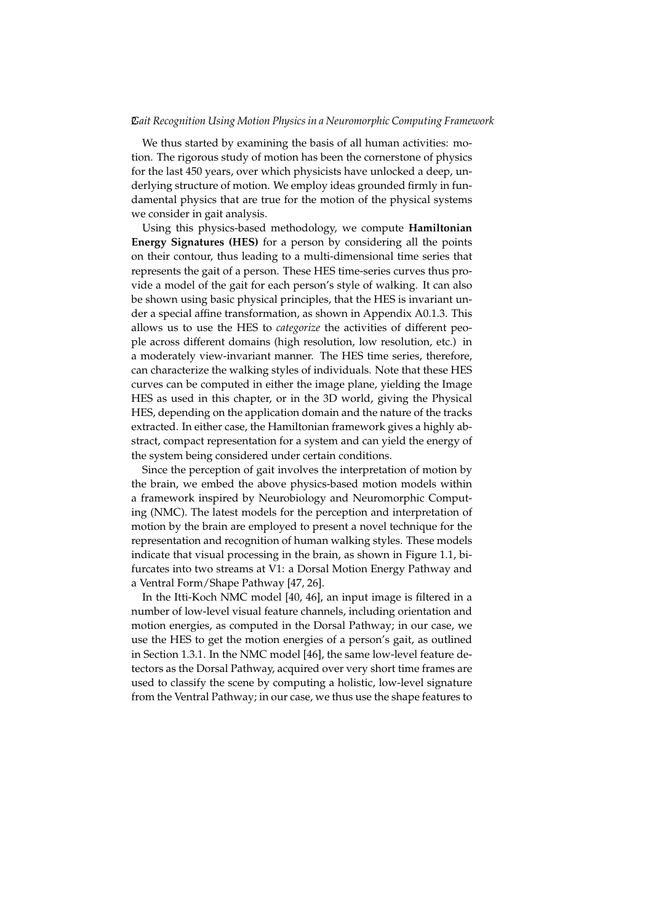We thus started by examining the basis of all human activities: motion. The rigorous study of motion has been the cornerstone of physics for the last 450 years, over which physicists have unlocked a deep, underlying structure of motion. We employ ideas grounded firmly in fundamental physics that are true for the motion of the physical systems we consider in gait analysis.

Using this physics-based methodology, we compute **Hamiltonian Energy Signatures (HES)** for a person by considering all the points on their contour, thus leading to a multi-dimensional time series that represents the gait of a person. These HES time-series curves thus provide a model of the gait for each person's style of walking. It can also be shown using basic physical principles, that the HES is invariant under a special affine transformation, as shown in Appendix A0.1.3. This allows us to use the HES to *categorize* the activities of different people across different domains (high resolution, low resolution, etc.) in a moderately view-invariant manner. The HES time series, therefore, can characterize the walking styles of individuals. Note that these HES curves can be computed in either the image plane, yielding the Image HES as used in this chapter, or in the 3D world, giving the Physical HES, depending on the application domain and the nature of the tracks extracted. In either case, the Hamiltonian framework gives a highly abstract, compact representation for a system and can yield the energy of the system being considered under certain conditions.

Since the perception of gait involves the interpretation of motion by the brain, we embed the above physics-based motion models within a framework inspired by Neurobiology and Neuromorphic Computing (NMC). The latest models for the perception and interpretation of motion by the brain are employed to present a novel technique for the representation and recognition of human walking styles. These models indicate that visual processing in the brain, as shown in Figure 1.1, bifurcates into two streams at V1: a Dorsal Motion Energy Pathway and a Ventral Form/Shape Pathway [47, 26].

In the Itti-Koch NMC model [40, 46], an input image is filtered in a number of low-level visual feature channels, including orientation and motion energies, as computed in the Dorsal Pathway; in our case, we use the HES to get the motion energies of a person's gait, as outlined in Section 1.3.1. In the NMC model [46], the same low-level feature detectors as the Dorsal Pathway, acquired over very short time frames are used to classify the scene by computing a holistic, low-level signature from the Ventral Pathway; in our case, we thus use the shape features to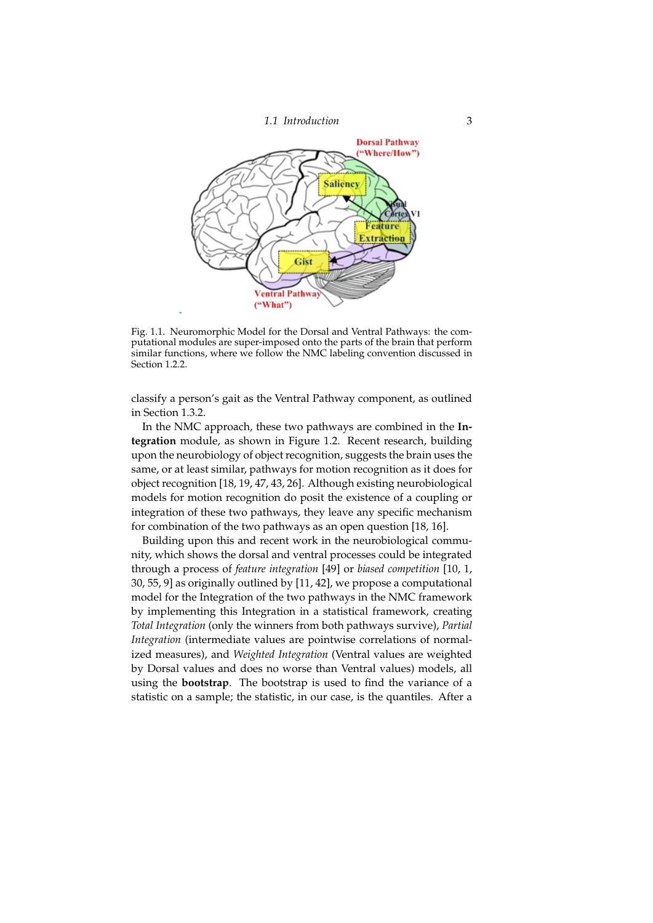



Fig. 1.1. Neuromorphic Model for the Dorsal and Ventral Pathways: the computational modules are super-imposed onto the parts of the brain that perform similar functions, where we follow the NMC labeling convention discussed in Section 1.2.2.

classify a person's gait as the Ventral Pathway component, as outlined in Section 1.3.2.

In the NMC approach, these two pathways are combined in the **Integration** module, as shown in Figure 1.2. Recent research, building upon the neurobiology of object recognition, suggests the brain uses the same, or at least similar, pathways for motion recognition as it does for object recognition [18, 19, 47, 43, 26]. Although existing neurobiological models for motion recognition do posit the existence of a coupling or integration of these two pathways, they leave any specific mechanism for combination of the two pathways as an open question [18, 16].

Building upon this and recent work in the neurobiological community, which shows the dorsal and ventral processes could be integrated through a process of *feature integration* [49] or *biased competition* [10, 1, 30, 55, 9] as originally outlined by [11, 42], we propose a computational model for the Integration of the two pathways in the NMC framework by implementing this Integration in a statistical framework, creating *Total Integration* (only the winners from both pathways survive), *Partial Integration* (intermediate values are pointwise correlations of normalized measures), and *Weighted Integration* (Ventral values are weighted by Dorsal values and does no worse than Ventral values) models, all using the **bootstrap**. The bootstrap is used to find the variance of a statistic on a sample; the statistic, in our case, is the quantiles. After a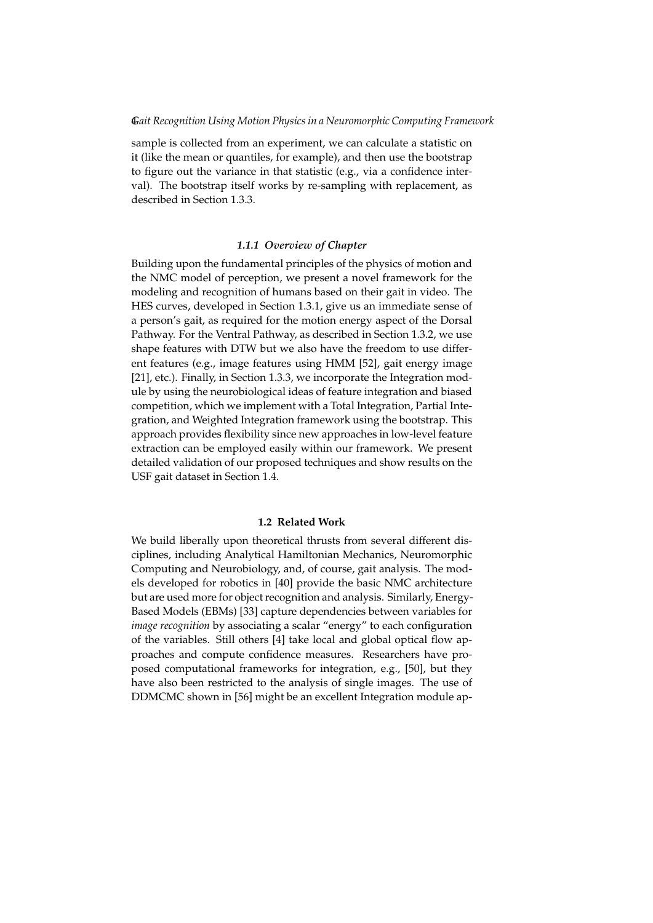sample is collected from an experiment, we can calculate a statistic on it (like the mean or quantiles, for example), and then use the bootstrap to figure out the variance in that statistic (e.g., via a confidence interval). The bootstrap itself works by re-sampling with replacement, as described in Section 1.3.3.

## *1.1.1 Overview of Chapter*

Building upon the fundamental principles of the physics of motion and the NMC model of perception, we present a novel framework for the modeling and recognition of humans based on their gait in video. The HES curves, developed in Section 1.3.1, give us an immediate sense of a person's gait, as required for the motion energy aspect of the Dorsal Pathway. For the Ventral Pathway, as described in Section 1.3.2, we use shape features with DTW but we also have the freedom to use different features (e.g., image features using HMM [52], gait energy image [21], etc.). Finally, in Section 1.3.3, we incorporate the Integration module by using the neurobiological ideas of feature integration and biased competition, which we implement with a Total Integration, Partial Integration, and Weighted Integration framework using the bootstrap. This approach provides flexibility since new approaches in low-level feature extraction can be employed easily within our framework. We present detailed validation of our proposed techniques and show results on the USF gait dataset in Section 1.4.

# **1.2 Related Work**

We build liberally upon theoretical thrusts from several different disciplines, including Analytical Hamiltonian Mechanics, Neuromorphic Computing and Neurobiology, and, of course, gait analysis. The models developed for robotics in [40] provide the basic NMC architecture but are used more for object recognition and analysis. Similarly, Energy-Based Models (EBMs) [33] capture dependencies between variables for *image recognition* by associating a scalar "energy" to each configuration of the variables. Still others [4] take local and global optical flow approaches and compute confidence measures. Researchers have proposed computational frameworks for integration, e.g., [50], but they have also been restricted to the analysis of single images. The use of DDMCMC shown in [56] might be an excellent Integration module ap-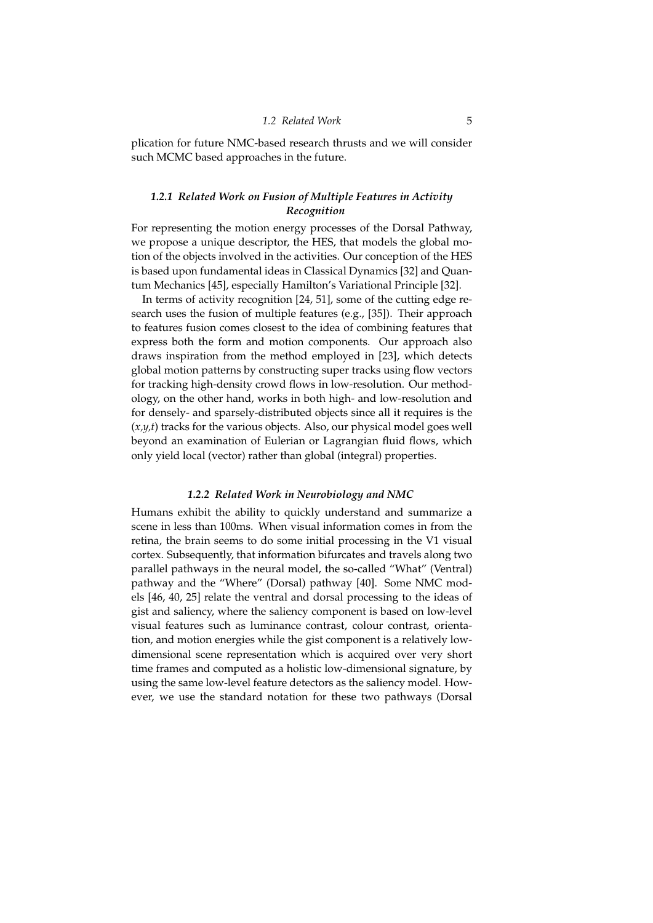# *1.2 Related Work* 5

plication for future NMC-based research thrusts and we will consider such MCMC based approaches in the future.

# *1.2.1 Related Work on Fusion of Multiple Features in Activity Recognition*

For representing the motion energy processes of the Dorsal Pathway, we propose a unique descriptor, the HES, that models the global motion of the objects involved in the activities. Our conception of the HES is based upon fundamental ideas in Classical Dynamics [32] and Quantum Mechanics [45], especially Hamilton's Variational Principle [32].

In terms of activity recognition [24, 51], some of the cutting edge research uses the fusion of multiple features (e.g., [35]). Their approach to features fusion comes closest to the idea of combining features that express both the form and motion components. Our approach also draws inspiration from the method employed in [23], which detects global motion patterns by constructing super tracks using flow vectors for tracking high-density crowd flows in low-resolution. Our methodology, on the other hand, works in both high- and low-resolution and for densely- and sparsely-distributed objects since all it requires is the (*x,y,t*) tracks for the various objects. Also, our physical model goes well beyond an examination of Eulerian or Lagrangian fluid flows, which only yield local (vector) rather than global (integral) properties.

#### *1.2.2 Related Work in Neurobiology and NMC*

Humans exhibit the ability to quickly understand and summarize a scene in less than 100ms. When visual information comes in from the retina, the brain seems to do some initial processing in the V1 visual cortex. Subsequently, that information bifurcates and travels along two parallel pathways in the neural model, the so-called "What" (Ventral) pathway and the "Where" (Dorsal) pathway [40]. Some NMC models [46, 40, 25] relate the ventral and dorsal processing to the ideas of gist and saliency, where the saliency component is based on low-level visual features such as luminance contrast, colour contrast, orientation, and motion energies while the gist component is a relatively lowdimensional scene representation which is acquired over very short time frames and computed as a holistic low-dimensional signature, by using the same low-level feature detectors as the saliency model. However, we use the standard notation for these two pathways (Dorsal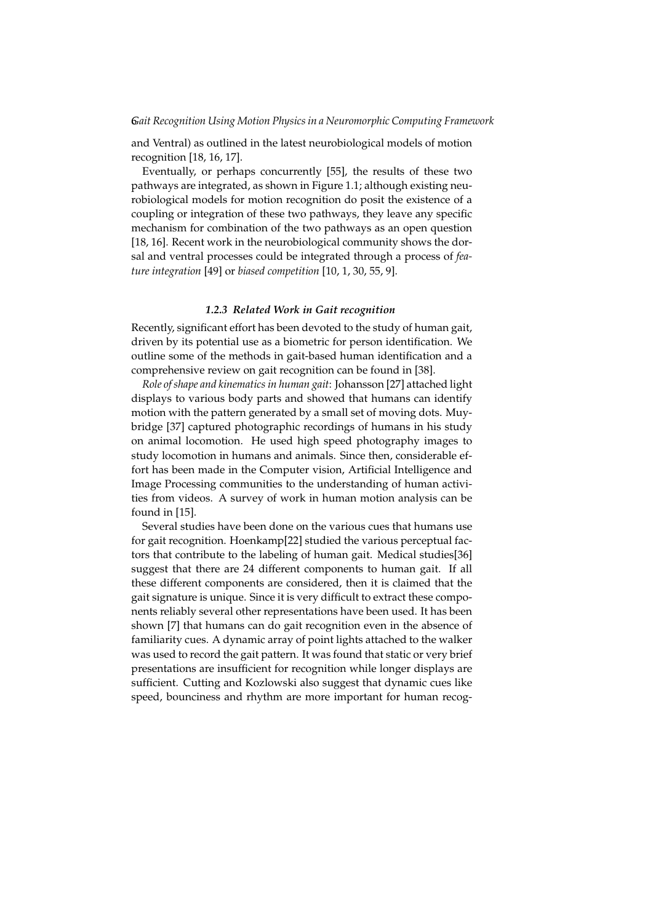and Ventral) as outlined in the latest neurobiological models of motion recognition [18, 16, 17].

Eventually, or perhaps concurrently [55], the results of these two pathways are integrated, as shown in Figure 1.1; although existing neurobiological models for motion recognition do posit the existence of a coupling or integration of these two pathways, they leave any specific mechanism for combination of the two pathways as an open question [18, 16]. Recent work in the neurobiological community shows the dorsal and ventral processes could be integrated through a process of *feature integration* [49] or *biased competition* [10, 1, 30, 55, 9].

## *1.2.3 Related Work in Gait recognition*

Recently, significant effort has been devoted to the study of human gait, driven by its potential use as a biometric for person identification. We outline some of the methods in gait-based human identification and a comprehensive review on gait recognition can be found in [38].

*Role of shape and kinematics in human gait*: Johansson [27] attached light displays to various body parts and showed that humans can identify motion with the pattern generated by a small set of moving dots. Muybridge [37] captured photographic recordings of humans in his study on animal locomotion. He used high speed photography images to study locomotion in humans and animals. Since then, considerable effort has been made in the Computer vision, Artificial Intelligence and Image Processing communities to the understanding of human activities from videos. A survey of work in human motion analysis can be found in [15].

Several studies have been done on the various cues that humans use for gait recognition. Hoenkamp[22] studied the various perceptual factors that contribute to the labeling of human gait. Medical studies[36] suggest that there are 24 different components to human gait. If all these different components are considered, then it is claimed that the gait signature is unique. Since it is very difficult to extract these components reliably several other representations have been used. It has been shown [7] that humans can do gait recognition even in the absence of familiarity cues. A dynamic array of point lights attached to the walker was used to record the gait pattern. It was found that static or very brief presentations are insufficient for recognition while longer displays are sufficient. Cutting and Kozlowski also suggest that dynamic cues like speed, bounciness and rhythm are more important for human recog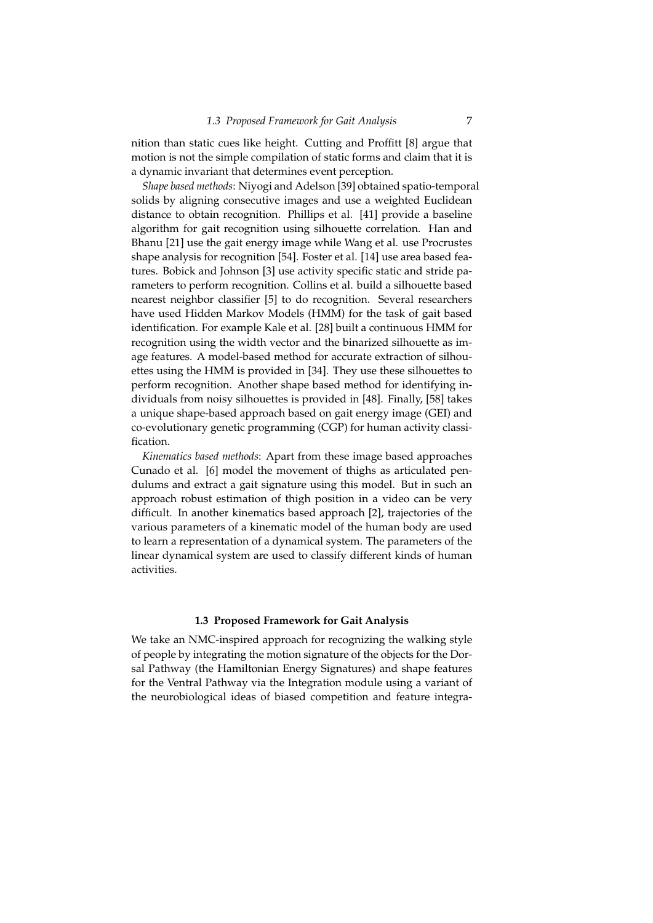nition than static cues like height. Cutting and Proffitt [8] argue that motion is not the simple compilation of static forms and claim that it is a dynamic invariant that determines event perception.

*Shape based methods*: Niyogi and Adelson [39] obtained spatio-temporal solids by aligning consecutive images and use a weighted Euclidean distance to obtain recognition. Phillips et al. [41] provide a baseline algorithm for gait recognition using silhouette correlation. Han and Bhanu [21] use the gait energy image while Wang et al. use Procrustes shape analysis for recognition [54]. Foster et al. [14] use area based features. Bobick and Johnson [3] use activity specific static and stride parameters to perform recognition. Collins et al. build a silhouette based nearest neighbor classifier [5] to do recognition. Several researchers have used Hidden Markov Models (HMM) for the task of gait based identification. For example Kale et al. [28] built a continuous HMM for recognition using the width vector and the binarized silhouette as image features. A model-based method for accurate extraction of silhouettes using the HMM is provided in [34]. They use these silhouettes to perform recognition. Another shape based method for identifying individuals from noisy silhouettes is provided in [48]. Finally, [58] takes a unique shape-based approach based on gait energy image (GEI) and co-evolutionary genetic programming (CGP) for human activity classification.

*Kinematics based methods*: Apart from these image based approaches Cunado et al. [6] model the movement of thighs as articulated pendulums and extract a gait signature using this model. But in such an approach robust estimation of thigh position in a video can be very difficult. In another kinematics based approach [2], trajectories of the various parameters of a kinematic model of the human body are used to learn a representation of a dynamical system. The parameters of the linear dynamical system are used to classify different kinds of human activities.

## **1.3 Proposed Framework for Gait Analysis**

We take an NMC-inspired approach for recognizing the walking style of people by integrating the motion signature of the objects for the Dorsal Pathway (the Hamiltonian Energy Signatures) and shape features for the Ventral Pathway via the Integration module using a variant of the neurobiological ideas of biased competition and feature integra-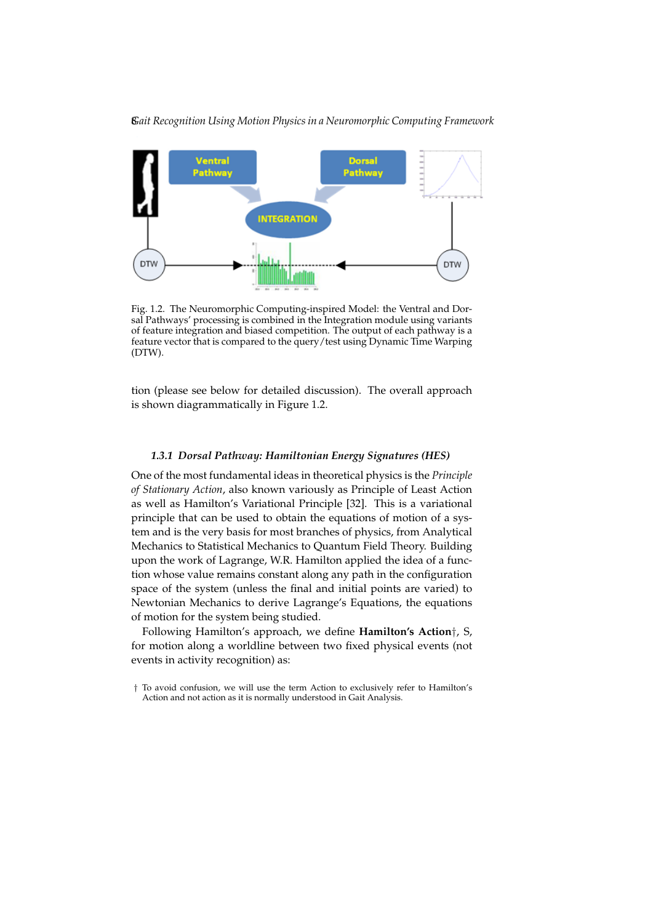

Fig. 1.2. The Neuromorphic Computing-inspired Model: the Ventral and Dorsal Pathways' processing is combined in the Integration module using variants of feature integration and biased competition. The output of each pathway is a feature vector that is compared to the query/test using Dynamic Time Warping (DTW).

tion (please see below for detailed discussion). The overall approach is shown diagrammatically in Figure 1.2.

## *1.3.1 Dorsal Pathway: Hamiltonian Energy Signatures (HES)*

One of the most fundamental ideas in theoretical physics is the *Principle of Stationary Action*, also known variously as Principle of Least Action as well as Hamilton's Variational Principle [32]. This is a variational principle that can be used to obtain the equations of motion of a system and is the very basis for most branches of physics, from Analytical Mechanics to Statistical Mechanics to Quantum Field Theory. Building upon the work of Lagrange, W.R. Hamilton applied the idea of a function whose value remains constant along any path in the configuration space of the system (unless the final and initial points are varied) to Newtonian Mechanics to derive Lagrange's Equations, the equations of motion for the system being studied.

Following Hamilton's approach, we define **Hamilton's Action**†, S, for motion along a worldline between two fixed physical events (not events in activity recognition) as:

<sup>†</sup> To avoid confusion, we will use the term Action to exclusively refer to Hamilton's Action and not action as it is normally understood in Gait Analysis.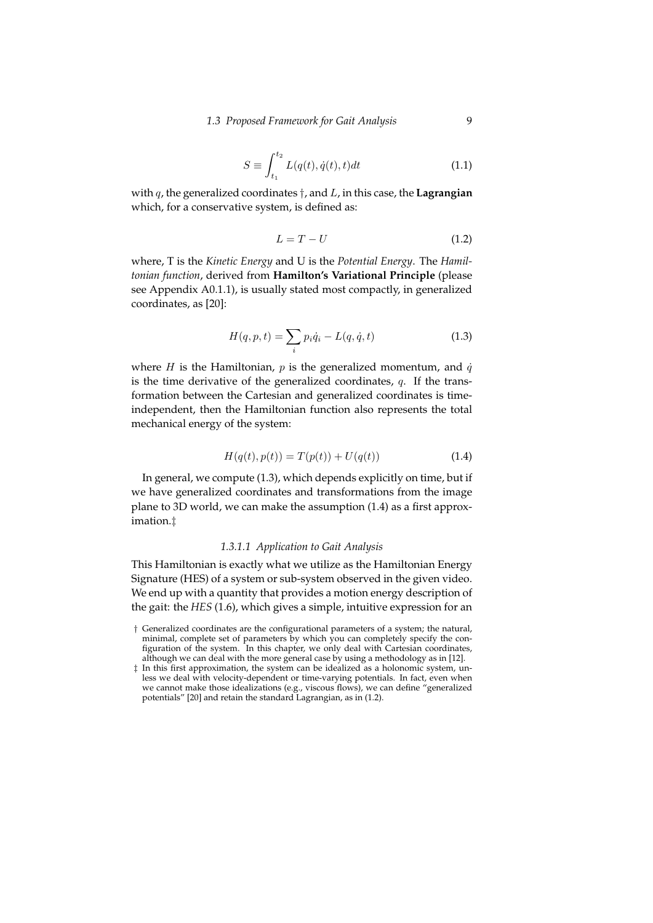# *1.3 Proposed Framework for Gait Analysis* 9

$$
S \equiv \int_{t_1}^{t_2} L(q(t), \dot{q}(t), t) dt
$$
 (1.1)

with q, the generalized coordinates †, and L, in this case, the **Lagrangian** which, for a conservative system, is defined as:

$$
L = T - U \tag{1.2}
$$

where, T is the *Kinetic Energy* and U is the *Potential Energy*. The *Hamiltonian function*, derived from **Hamilton's Variational Principle** (please see Appendix A0.1.1), is usually stated most compactly, in generalized coordinates, as [20]:

$$
H(q, p, t) = \sum_{i} p_i \dot{q}_i - L(q, \dot{q}, t)
$$
\n(1.3)

where  $H$  is the Hamiltonian,  $p$  is the generalized momentum, and  $\dot{q}$ is the time derivative of the generalized coordinates,  $q$ . If the transformation between the Cartesian and generalized coordinates is timeindependent, then the Hamiltonian function also represents the total mechanical energy of the system:

$$
H(q(t), p(t)) = T(p(t)) + U(q(t))
$$
\n(1.4)

In general, we compute (1.3), which depends explicitly on time, but if we have generalized coordinates and transformations from the image plane to 3D world, we can make the assumption (1.4) as a first approximation.‡

#### *1.3.1.1 Application to Gait Analysis*

This Hamiltonian is exactly what we utilize as the Hamiltonian Energy Signature (HES) of a system or sub-system observed in the given video. We end up with a quantity that provides a motion energy description of the gait: the *HES* (1.6), which gives a simple, intuitive expression for an

<sup>†</sup> Generalized coordinates are the configurational parameters of a system; the natural, minimal, complete set of parameters by which you can completely specify the configuration of the system. In this chapter, we only deal with Cartesian coordinates, although we can deal with the more general case by using a methodology as in [12].

<sup>‡</sup> In this first approximation, the system can be idealized as a holonomic system, unless we deal with velocity-dependent or time-varying potentials. In fact, even when we cannot make those idealizations (e.g., viscous flows), we can define "generalized potentials" [20] and retain the standard Lagrangian, as in (1.2).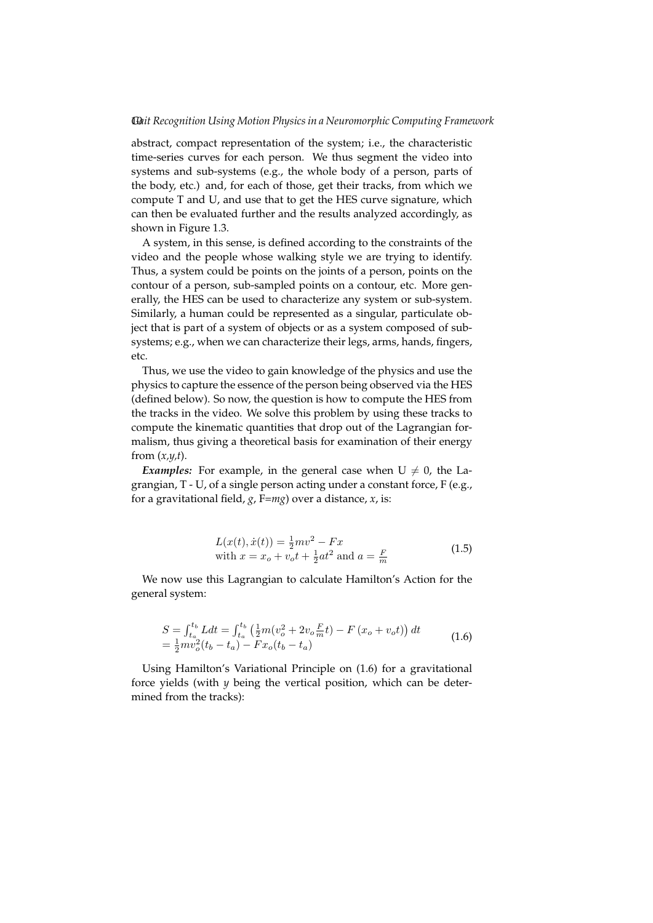abstract, compact representation of the system; i.e., the characteristic time-series curves for each person. We thus segment the video into systems and sub-systems (e.g., the whole body of a person, parts of the body, etc.) and, for each of those, get their tracks, from which we compute T and U, and use that to get the HES curve signature, which can then be evaluated further and the results analyzed accordingly, as shown in Figure 1.3.

A system, in this sense, is defined according to the constraints of the video and the people whose walking style we are trying to identify. Thus, a system could be points on the joints of a person, points on the contour of a person, sub-sampled points on a contour, etc. More generally, the HES can be used to characterize any system or sub-system. Similarly, a human could be represented as a singular, particulate object that is part of a system of objects or as a system composed of subsystems; e.g., when we can characterize their legs, arms, hands, fingers, etc.

Thus, we use the video to gain knowledge of the physics and use the physics to capture the essence of the person being observed via the HES (defined below). So now, the question is how to compute the HES from the tracks in the video. We solve this problem by using these tracks to compute the kinematic quantities that drop out of the Lagrangian formalism, thus giving a theoretical basis for examination of their energy from (*x,y,t*).

*Examples:* For example, in the general case when  $U \neq 0$ , the Lagrangian, T - U, of a single person acting under a constant force, F (e.g., for a gravitational field, *g*, F=*mg*) over a distance, *x*, is:

$$
L(x(t), \dot{x}(t)) = \frac{1}{2}mv^2 - Fx
$$
  
with  $x = x_o + v_o t + \frac{1}{2}at^2$  and  $a = \frac{F}{m}$  (1.5)

We now use this Lagrangian to calculate Hamilton's Action for the general system:

$$
S = \int_{t_a}^{t_b} L dt = \int_{t_a}^{t_b} \left( \frac{1}{2} m (v_o^2 + 2 v_o \frac{F}{m} t) - F (x_o + v_o t) \right) dt
$$
  
= 
$$
\frac{1}{2} m v_o^2 (t_b - t_a) - F x_o (t_b - t_a)
$$
 (1.6)

Using Hamilton's Variational Principle on (1.6) for a gravitational force yields (with *y* being the vertical position, which can be determined from the tracks):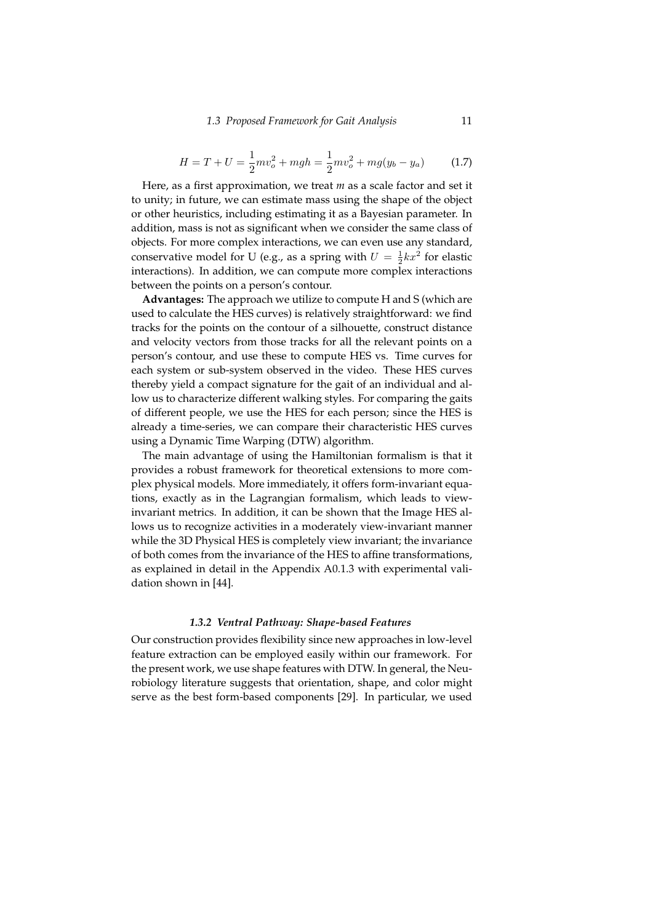#### *1.3 Proposed Framework for Gait Analysis* 11

$$
H = T + U = \frac{1}{2}mv_o^2 + mgh = \frac{1}{2}mv_o^2 + mg(y_b - y_a)
$$
 (1.7)

Here, as a first approximation, we treat *m* as a scale factor and set it to unity; in future, we can estimate mass using the shape of the object or other heuristics, including estimating it as a Bayesian parameter. In addition, mass is not as significant when we consider the same class of objects. For more complex interactions, we can even use any standard, conservative model for U (e.g., as a spring with  $U = \frac{1}{2}kx^2$  for elastic interactions). In addition, we can compute more complex interactions between the points on a person's contour.

**Advantages:** The approach we utilize to compute H and S (which are used to calculate the HES curves) is relatively straightforward: we find tracks for the points on the contour of a silhouette, construct distance and velocity vectors from those tracks for all the relevant points on a person's contour, and use these to compute HES vs. Time curves for each system or sub-system observed in the video. These HES curves thereby yield a compact signature for the gait of an individual and allow us to characterize different walking styles. For comparing the gaits of different people, we use the HES for each person; since the HES is already a time-series, we can compare their characteristic HES curves using a Dynamic Time Warping (DTW) algorithm.

The main advantage of using the Hamiltonian formalism is that it provides a robust framework for theoretical extensions to more complex physical models. More immediately, it offers form-invariant equations, exactly as in the Lagrangian formalism, which leads to viewinvariant metrics. In addition, it can be shown that the Image HES allows us to recognize activities in a moderately view-invariant manner while the 3D Physical HES is completely view invariant; the invariance of both comes from the invariance of the HES to affine transformations, as explained in detail in the Appendix A0.1.3 with experimental validation shown in [44].

## *1.3.2 Ventral Pathway: Shape-based Features*

Our construction provides flexibility since new approaches in low-level feature extraction can be employed easily within our framework. For the present work, we use shape features with DTW. In general, the Neurobiology literature suggests that orientation, shape, and color might serve as the best form-based components [29]. In particular, we used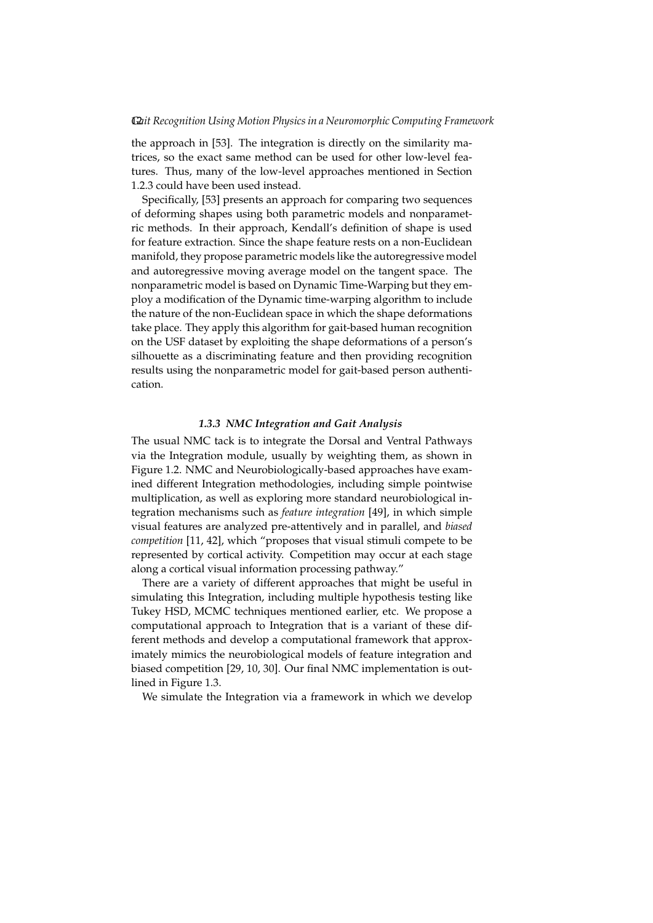the approach in [53]. The integration is directly on the similarity matrices, so the exact same method can be used for other low-level features. Thus, many of the low-level approaches mentioned in Section 1.2.3 could have been used instead.

Specifically, [53] presents an approach for comparing two sequences of deforming shapes using both parametric models and nonparametric methods. In their approach, Kendall's definition of shape is used for feature extraction. Since the shape feature rests on a non-Euclidean manifold, they propose parametric models like the autoregressive model and autoregressive moving average model on the tangent space. The nonparametric model is based on Dynamic Time-Warping but they employ a modification of the Dynamic time-warping algorithm to include the nature of the non-Euclidean space in which the shape deformations take place. They apply this algorithm for gait-based human recognition on the USF dataset by exploiting the shape deformations of a person's silhouette as a discriminating feature and then providing recognition results using the nonparametric model for gait-based person authentication.

### *1.3.3 NMC Integration and Gait Analysis*

The usual NMC tack is to integrate the Dorsal and Ventral Pathways via the Integration module, usually by weighting them, as shown in Figure 1.2. NMC and Neurobiologically-based approaches have examined different Integration methodologies, including simple pointwise multiplication, as well as exploring more standard neurobiological integration mechanisms such as *feature integration* [49], in which simple visual features are analyzed pre-attentively and in parallel, and *biased competition* [11, 42], which "proposes that visual stimuli compete to be represented by cortical activity. Competition may occur at each stage along a cortical visual information processing pathway."

There are a variety of different approaches that might be useful in simulating this Integration, including multiple hypothesis testing like Tukey HSD, MCMC techniques mentioned earlier, etc. We propose a computational approach to Integration that is a variant of these different methods and develop a computational framework that approximately mimics the neurobiological models of feature integration and biased competition [29, 10, 30]. Our final NMC implementation is outlined in Figure 1.3.

We simulate the Integration via a framework in which we develop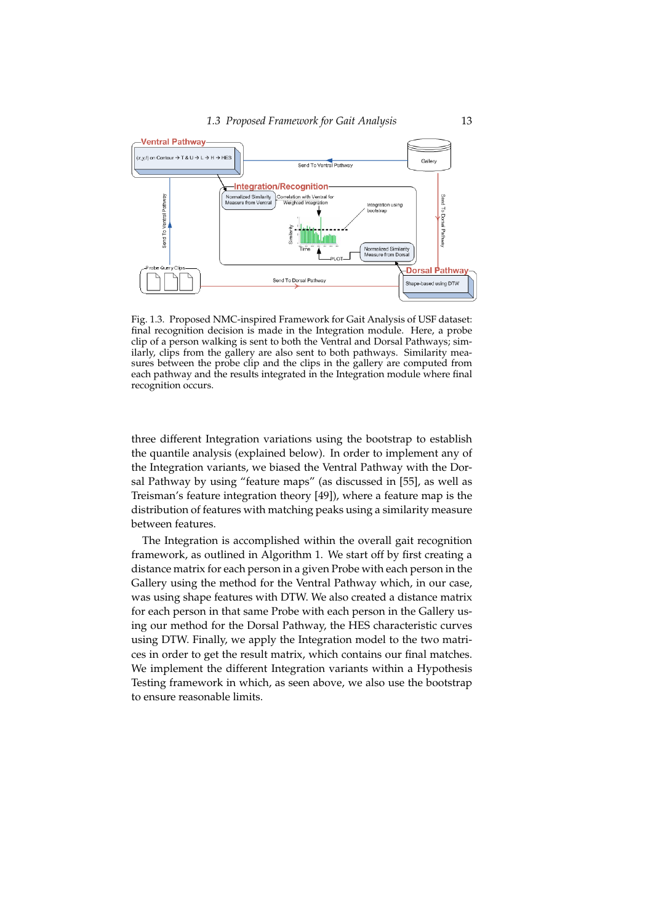

Fig. 1.3. Proposed NMC-inspired Framework for Gait Analysis of USF dataset: final recognition decision is made in the Integration module. Here, a probe clip of a person walking is sent to both the Ventral and Dorsal Pathways; similarly, clips from the gallery are also sent to both pathways. Similarity measures between the probe clip and the clips in the gallery are computed from each pathway and the results integrated in the Integration module where final recognition occurs.

three different Integration variations using the bootstrap to establish the quantile analysis (explained below). In order to implement any of the Integration variants, we biased the Ventral Pathway with the Dorsal Pathway by using "feature maps" (as discussed in [55], as well as Treisman's feature integration theory [49]), where a feature map is the distribution of features with matching peaks using a similarity measure between features.

The Integration is accomplished within the overall gait recognition framework, as outlined in Algorithm 1. We start off by first creating a distance matrix for each person in a given Probe with each person in the Gallery using the method for the Ventral Pathway which, in our case, was using shape features with DTW. We also created a distance matrix for each person in that same Probe with each person in the Gallery using our method for the Dorsal Pathway, the HES characteristic curves using DTW. Finally, we apply the Integration model to the two matrices in order to get the result matrix, which contains our final matches. We implement the different Integration variants within a Hypothesis Testing framework in which, as seen above, we also use the bootstrap to ensure reasonable limits.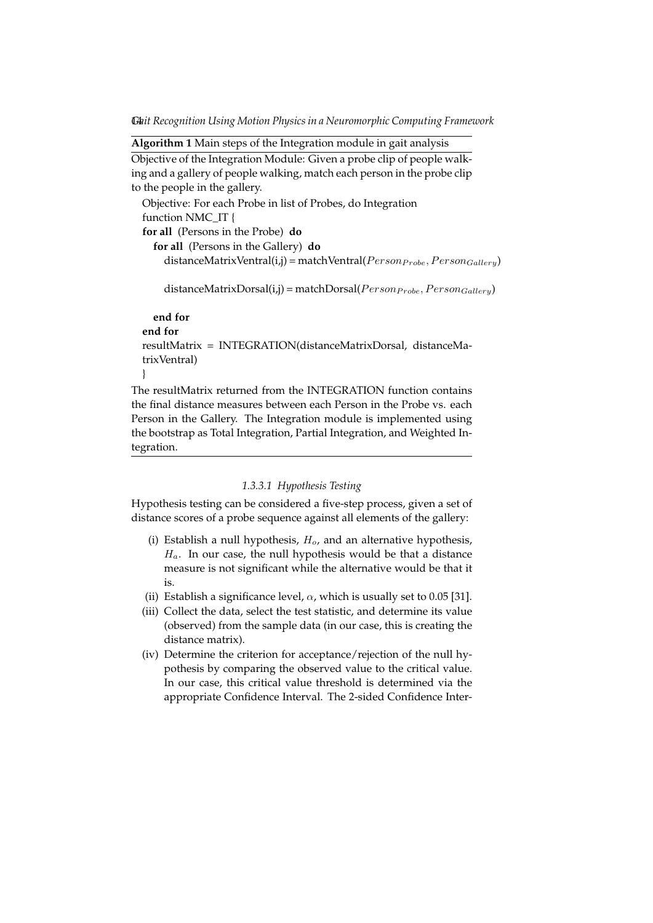14*Gait Recognition Using Motion Physics in a Neuromorphic Computing Framework*

```
Algorithm 1 Main steps of the Integration module in gait analysis
Objective of the Integration Module: Given a probe clip of people walk-
ing and a gallery of people walking, match each person in the probe clip
to the people in the gallery.
  Objective: For each Probe in list of Probes, do Integration
  function NMC_IT {
  for all (Persons in the Probe) do
    for all (Persons in the Gallery) do
      distanceMatrixVertral(i,j) = matchVertical(Person_{Probe}, Person_{Galleru})distanceMatrixDorsal(i,j) = matchDorsal(Person_{Fobe}, Person_{Gallery})end for
  end for
  resultMatrix = INTEGRATION(distanceMatrixDorsal, distanceMa-
  trixVentral)
  }
The resultMatrix returned from the INTEGRATION function contains
```
the final distance measures between each Person in the Probe vs. each Person in the Gallery. The Integration module is implemented using the bootstrap as Total Integration, Partial Integration, and Weighted Integration.

# *1.3.3.1 Hypothesis Testing*

Hypothesis testing can be considered a five-step process, given a set of distance scores of a probe sequence against all elements of the gallery:

- (i) Establish a null hypothesis,  $H_o$ , and an alternative hypothesis,  $H_a$ . In our case, the null hypothesis would be that a distance measure is not significant while the alternative would be that it is.
- (ii) Establish a significance level,  $\alpha$ , which is usually set to 0.05 [31].
- (iii) Collect the data, select the test statistic, and determine its value (observed) from the sample data (in our case, this is creating the distance matrix).
- (iv) Determine the criterion for acceptance/rejection of the null hypothesis by comparing the observed value to the critical value. In our case, this critical value threshold is determined via the appropriate Confidence Interval. The 2-sided Confidence Inter-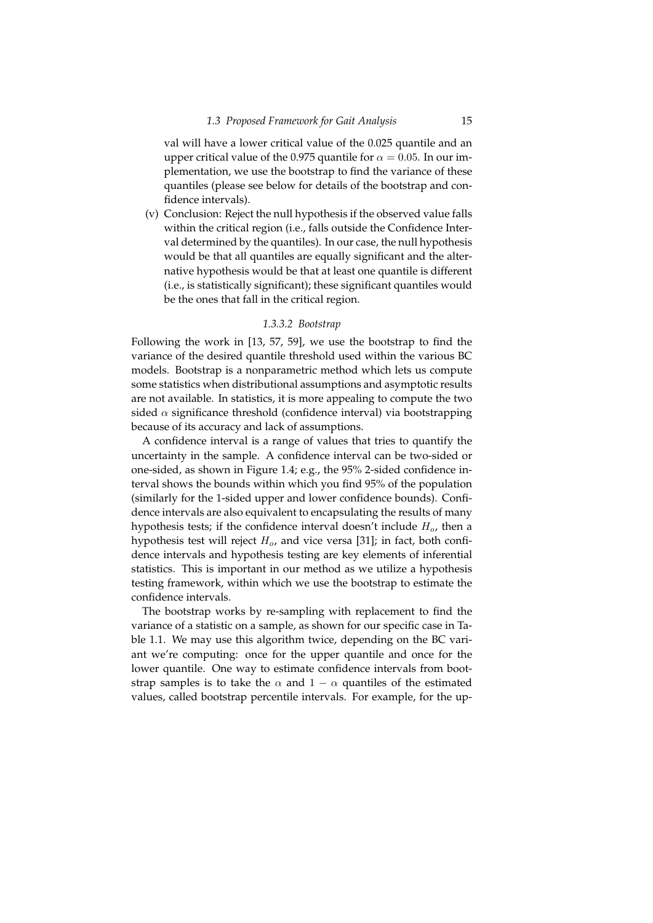val will have a lower critical value of the 0.025 quantile and an upper critical value of the 0.975 quantile for  $\alpha = 0.05$ . In our implementation, we use the bootstrap to find the variance of these quantiles (please see below for details of the bootstrap and confidence intervals).

(v) Conclusion: Reject the null hypothesis if the observed value falls within the critical region (i.e., falls outside the Confidence Interval determined by the quantiles). In our case, the null hypothesis would be that all quantiles are equally significant and the alternative hypothesis would be that at least one quantile is different (i.e., is statistically significant); these significant quantiles would be the ones that fall in the critical region.

# *1.3.3.2 Bootstrap*

Following the work in [13, 57, 59], we use the bootstrap to find the variance of the desired quantile threshold used within the various BC models. Bootstrap is a nonparametric method which lets us compute some statistics when distributional assumptions and asymptotic results are not available. In statistics, it is more appealing to compute the two sided  $\alpha$  significance threshold (confidence interval) via bootstrapping because of its accuracy and lack of assumptions.

A confidence interval is a range of values that tries to quantify the uncertainty in the sample. A confidence interval can be two-sided or one-sided, as shown in Figure 1.4; e.g., the 95% 2-sided confidence interval shows the bounds within which you find 95% of the population (similarly for the 1-sided upper and lower confidence bounds). Confidence intervals are also equivalent to encapsulating the results of many hypothesis tests; if the confidence interval doesn't include  $H<sub>o</sub>$ , then a hypothesis test will reject  $H_o$ , and vice versa [31]; in fact, both confidence intervals and hypothesis testing are key elements of inferential statistics. This is important in our method as we utilize a hypothesis testing framework, within which we use the bootstrap to estimate the confidence intervals.

The bootstrap works by re-sampling with replacement to find the variance of a statistic on a sample, as shown for our specific case in Table 1.1. We may use this algorithm twice, depending on the BC variant we're computing: once for the upper quantile and once for the lower quantile. One way to estimate confidence intervals from bootstrap samples is to take the  $\alpha$  and  $1 - \alpha$  quantiles of the estimated values, called bootstrap percentile intervals. For example, for the up-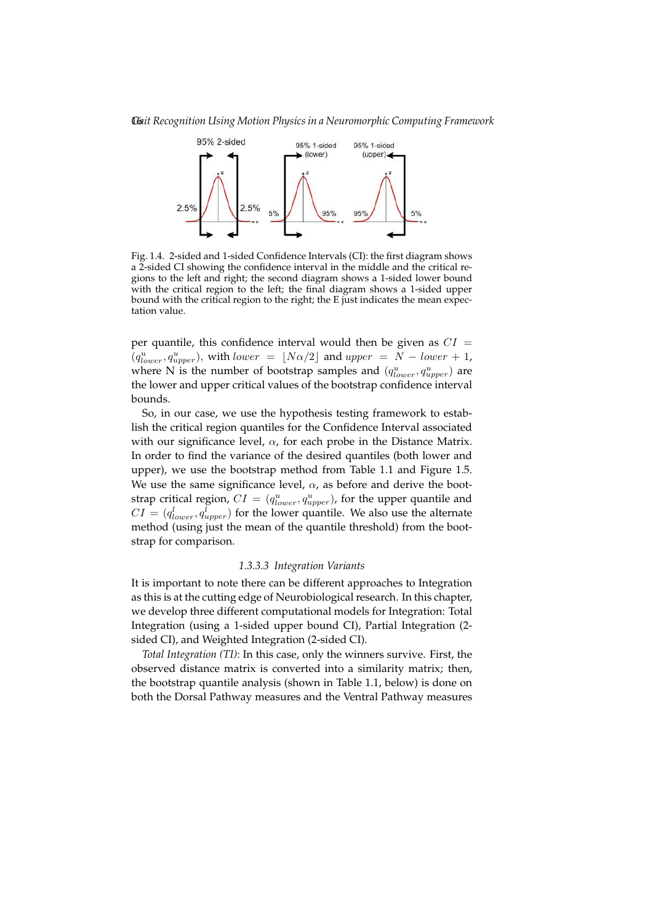16*Gait Recognition Using Motion Physics in a Neuromorphic Computing Framework*



Fig. 1.4. 2-sided and 1-sided Confidence Intervals (CI): the first diagram shows a 2-sided CI showing the confidence interval in the middle and the critical regions to the left and right; the second diagram shows a 1-sided lower bound with the critical region to the left; the final diagram shows a 1-sided upper bound with the critical region to the right; the E just indicates the mean expectation value.

per quantile, this confidence interval would then be given as  $CI =$  $(q_{lower}^u, q_{upper}^u)$ , with lower =  $\lfloor N\alpha/2 \rfloor$  and upper =  $N - lower + 1$ , where N is the number of bootstrap samples and  $(q_{lower}^u, q_{upper}^u)$  are the lower and upper critical values of the bootstrap confidence interval bounds.

So, in our case, we use the hypothesis testing framework to establish the critical region quantiles for the Confidence Interval associated with our significance level,  $\alpha$ , for each probe in the Distance Matrix. In order to find the variance of the desired quantiles (both lower and upper), we use the bootstrap method from Table 1.1 and Figure 1.5. We use the same significance level,  $\alpha$ , as before and derive the bootstrap critical region,  $CI = (q_{lower}^u, q_{upper}^u)$ , for the upper quantile and  $CI = (q_{lower}^l, q_{upper}^l)$  for the lower quantile. We also use the alternate method (using just the mean of the quantile threshold) from the bootstrap for comparison.

# *1.3.3.3 Integration Variants*

It is important to note there can be different approaches to Integration as this is at the cutting edge of Neurobiological research. In this chapter, we develop three different computational models for Integration: Total Integration (using a 1-sided upper bound CI), Partial Integration (2 sided CI), and Weighted Integration (2-sided CI).

*Total Integration (TI)*: In this case, only the winners survive. First, the observed distance matrix is converted into a similarity matrix; then, the bootstrap quantile analysis (shown in Table 1.1, below) is done on both the Dorsal Pathway measures and the Ventral Pathway measures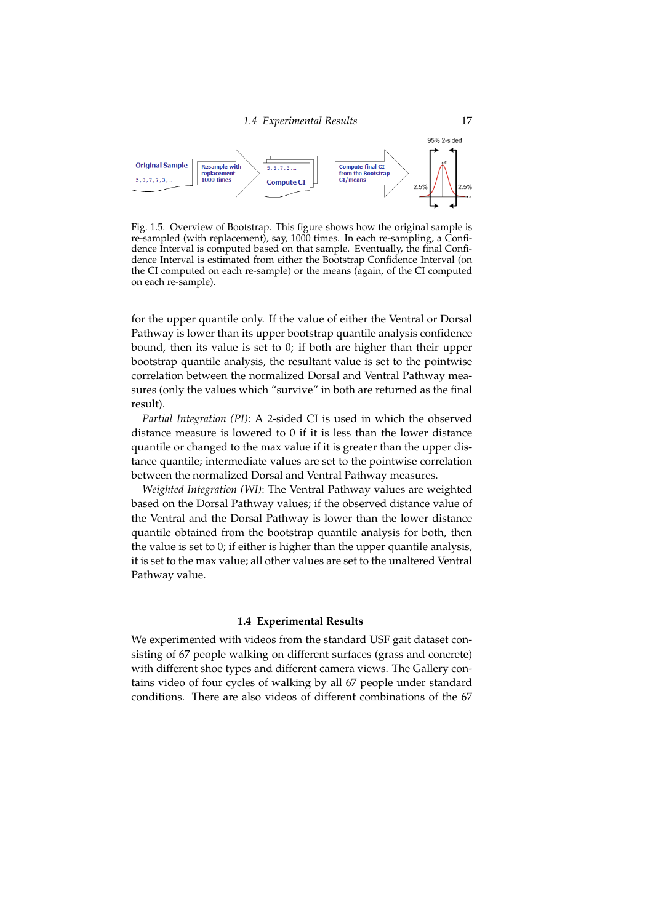

Fig. 1.5. Overview of Bootstrap. This figure shows how the original sample is re-sampled (with replacement), say, 1000 times. In each re-sampling, a Confidence Interval is computed based on that sample. Eventually, the final Confidence Interval is estimated from either the Bootstrap Confidence Interval (on the CI computed on each re-sample) or the means (again, of the CI computed on each re-sample).

for the upper quantile only. If the value of either the Ventral or Dorsal Pathway is lower than its upper bootstrap quantile analysis confidence bound, then its value is set to 0; if both are higher than their upper bootstrap quantile analysis, the resultant value is set to the pointwise correlation between the normalized Dorsal and Ventral Pathway measures (only the values which "survive" in both are returned as the final result).

*Partial Integration (PI)*: A 2-sided CI is used in which the observed distance measure is lowered to 0 if it is less than the lower distance quantile or changed to the max value if it is greater than the upper distance quantile; intermediate values are set to the pointwise correlation between the normalized Dorsal and Ventral Pathway measures.

*Weighted Integration (WI)*: The Ventral Pathway values are weighted based on the Dorsal Pathway values; if the observed distance value of the Ventral and the Dorsal Pathway is lower than the lower distance quantile obtained from the bootstrap quantile analysis for both, then the value is set to 0; if either is higher than the upper quantile analysis, it is set to the max value; all other values are set to the unaltered Ventral Pathway value.

# **1.4 Experimental Results**

We experimented with videos from the standard USF gait dataset consisting of 67 people walking on different surfaces (grass and concrete) with different shoe types and different camera views. The Gallery contains video of four cycles of walking by all 67 people under standard conditions. There are also videos of different combinations of the 67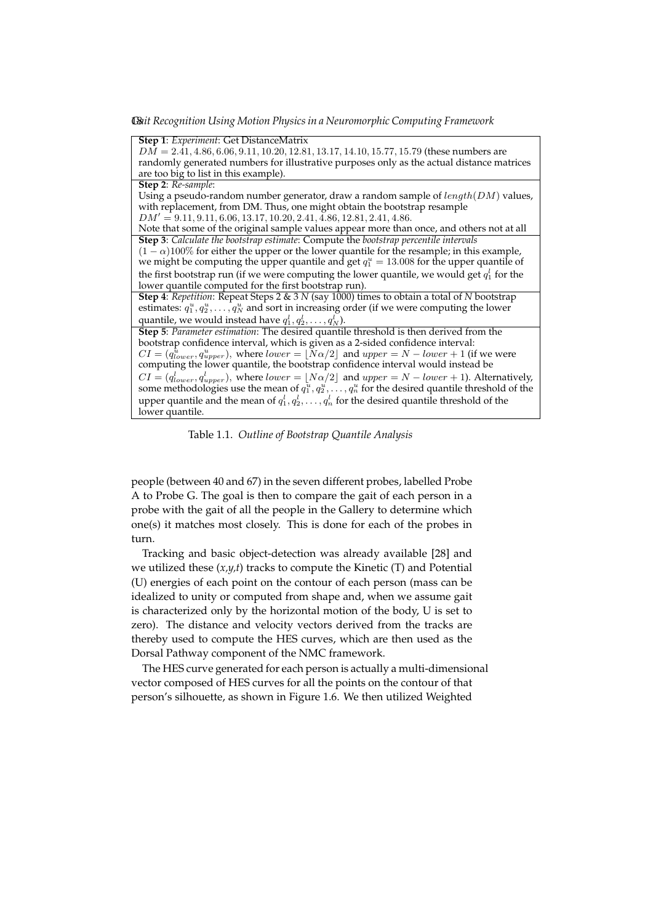18*Gait Recognition Using Motion Physics in a Neuromorphic Computing Framework*

**Step 1**: *Experiment*: Get DistanceMatrix  $D\overline{M} = 2.\overline{41}, 4.86, 6.06, 9.11, 10.20, 12.81, 13.17, 14.10, 15.77, 15.79$  (these numbers are randomly generated numbers for illustrative purposes only as the actual distance matrices are too big to list in this example). **Step 2**: *Re-sample*: Using a pseudo-random number generator, draw a random sample of  $length(DM)$  values, with replacement, from DM. Thus, one might obtain the bootstrap resample  $DM' = 9.11, 9.11, 6.06, 13.17, 10.20, 2.41, 4.86, 12.81, 2.41, 4.86.$ Note that some of the original sample values appear more than once, and others not at all **Step 3**: *Calculate the bootstrap estimate*: Compute the *bootstrap percentile intervals*  $(1 - \alpha)100\%$  for either the upper or the lower quantile for the resample; in this example, we might be computing the upper quantile and get  $q_1^u = 13.008$  for the upper quantile of the first bootstrap run (if we were computing the lower quantile, we would get  $q_1^l$  for the lower quantile computed for the first bootstrap run). **Step 4**: *Repetition*: Repeat Steps 2 & 3 *N* (say 1000) times to obtain a total of *N* bootstrap estimates:  $q_1^u, q_2^u, \ldots, q_N^u$  and sort in increasing order (if we were computing the lower quantile, we would instead have  $q_1^l, q_2^l, \ldots, q_N^l$ ). **Step 5**: *Parameter estimation*: The desired quantile threshold is then derived from the bootstrap confidence interval, which is given as a 2-sided confidence interval:  $CI = (q_{lower}^{\hat{u}}, q_{upper}^{\hat{u}})$ , where  $lower = \lfloor N\alpha/2 \rfloor$  and  $upper = N - lower + 1$  (if we were computing the lower quantile, the bootstrap confidence interval would instead be  $CI = (q_{lower}^l, q_{upper}^l)$ , where  $lower = \lfloor N\alpha/2 \rfloor$  and  $upper = N - lower + 1$ ). Alternatively, some methodologies use the mean of  $q_1^u, q_2^u, \ldots, q_n^u$  for the desired quantile threshold of the upper quantile and the mean of  $q_1^l, q_2^l, \ldots, q_n^l$  for the desired quantile threshold of the lower quantile.

Table 1.1. *Outline of Bootstrap Quantile Analysis*

people (between 40 and 67) in the seven different probes, labelled Probe A to Probe G. The goal is then to compare the gait of each person in a probe with the gait of all the people in the Gallery to determine which one(s) it matches most closely. This is done for each of the probes in turn.

Tracking and basic object-detection was already available [28] and we utilized these (*x,y,t*) tracks to compute the Kinetic (T) and Potential (U) energies of each point on the contour of each person (mass can be idealized to unity or computed from shape and, when we assume gait is characterized only by the horizontal motion of the body, U is set to zero). The distance and velocity vectors derived from the tracks are thereby used to compute the HES curves, which are then used as the Dorsal Pathway component of the NMC framework.

The HES curve generated for each person is actually a multi-dimensional vector composed of HES curves for all the points on the contour of that person's silhouette, as shown in Figure 1.6. We then utilized Weighted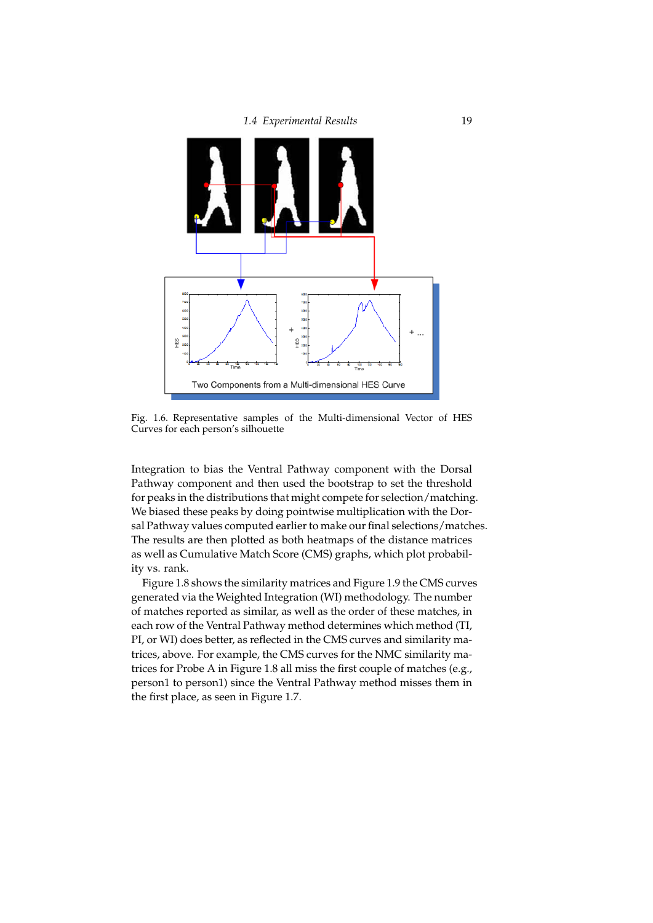



Fig. 1.6. Representative samples of the Multi-dimensional Vector of HES Curves for each person's silhouette

Integration to bias the Ventral Pathway component with the Dorsal Pathway component and then used the bootstrap to set the threshold for peaks in the distributions that might compete for selection/matching. We biased these peaks by doing pointwise multiplication with the Dorsal Pathway values computed earlier to make our final selections/matches. The results are then plotted as both heatmaps of the distance matrices as well as Cumulative Match Score (CMS) graphs, which plot probability vs. rank.

Figure 1.8 shows the similarity matrices and Figure 1.9 the CMS curves generated via the Weighted Integration (WI) methodology. The number of matches reported as similar, as well as the order of these matches, in each row of the Ventral Pathway method determines which method (TI, PI, or WI) does better, as reflected in the CMS curves and similarity matrices, above. For example, the CMS curves for the NMC similarity matrices for Probe A in Figure 1.8 all miss the first couple of matches (e.g., person1 to person1) since the Ventral Pathway method misses them in the first place, as seen in Figure 1.7.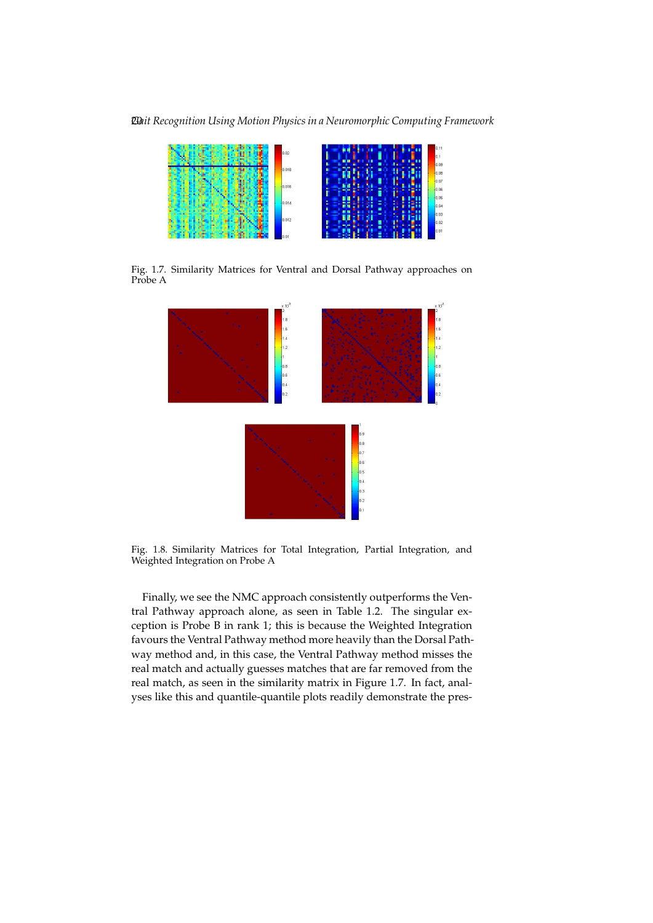20*Gait Recognition Using Motion Physics in a Neuromorphic Computing Framework*



Fig. 1.7. Similarity Matrices for Ventral and Dorsal Pathway approaches on Probe A



Fig. 1.8. Similarity Matrices for Total Integration, Partial Integration, and Weighted Integration on Probe A

Finally, we see the NMC approach consistently outperforms the Ventral Pathway approach alone, as seen in Table 1.2. The singular exception is Probe B in rank 1; this is because the Weighted Integration favours the Ventral Pathway method more heavily than the Dorsal Pathway method and, in this case, the Ventral Pathway method misses the real match and actually guesses matches that are far removed from the real match, as seen in the similarity matrix in Figure 1.7. In fact, analyses like this and quantile-quantile plots readily demonstrate the pres-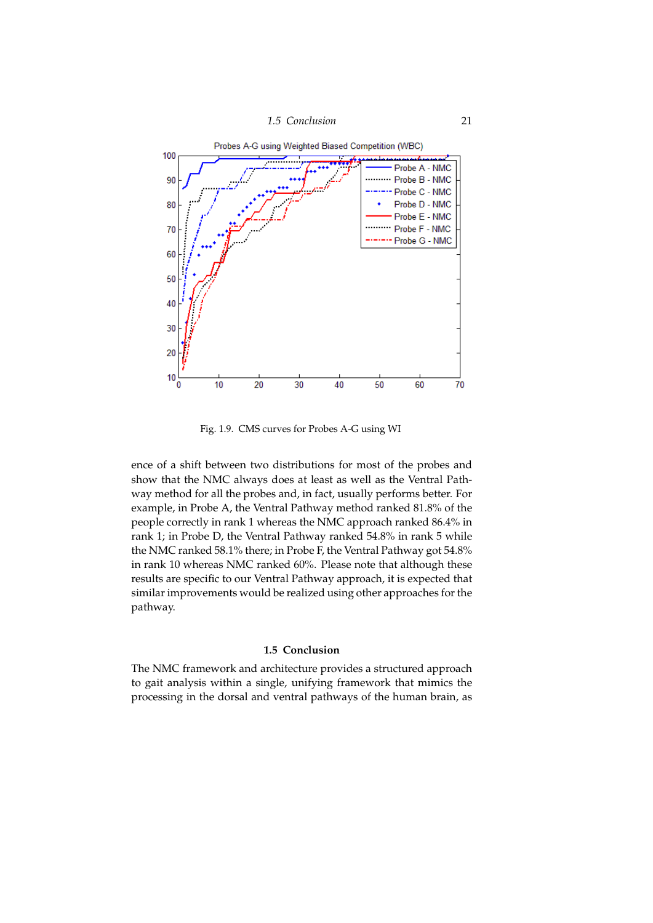



Fig. 1.9. CMS curves for Probes A-G using WI

ence of a shift between two distributions for most of the probes and show that the NMC always does at least as well as the Ventral Pathway method for all the probes and, in fact, usually performs better. For example, in Probe A, the Ventral Pathway method ranked 81.8% of the people correctly in rank 1 whereas the NMC approach ranked 86.4% in rank 1; in Probe D, the Ventral Pathway ranked 54.8% in rank 5 while the NMC ranked 58.1% there; in Probe F, the Ventral Pathway got 54.8% in rank 10 whereas NMC ranked 60%. Please note that although these results are specific to our Ventral Pathway approach, it is expected that similar improvements would be realized using other approaches for the pathway.

# **1.5 Conclusion**

The NMC framework and architecture provides a structured approach to gait analysis within a single, unifying framework that mimics the processing in the dorsal and ventral pathways of the human brain, as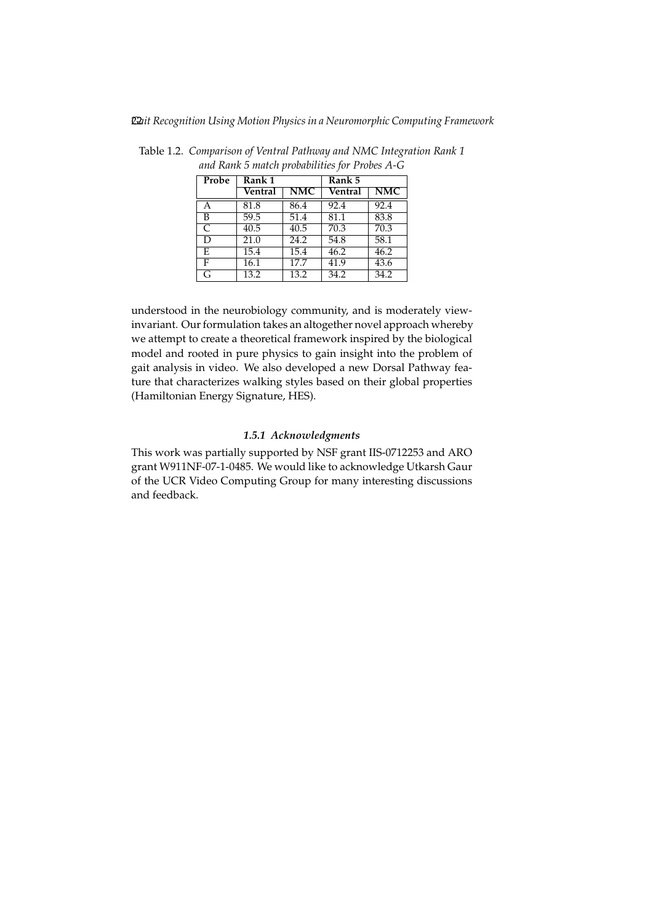| Probe                    | Rank <sub>1</sub> |      | Rank 5  |                         |
|--------------------------|-------------------|------|---------|-------------------------|
|                          | Ventral           | NMC  | Ventral | $\overline{\text{NMC}}$ |
| А                        | 81.8              | 86.4 | 92.4    | 92.4                    |
| B                        | 59.5              | 51.4 | 81.1    | 83.8                    |
| $\overline{\mathcal{C}}$ | $\overline{40.5}$ | 40.5 | 70.3    | 70.3                    |
| D                        | $\overline{21.0}$ | 24.2 | 54.8    | 58.1                    |
| F.                       | 15.4              | 15.4 | 46.2    | 46.2                    |
| F                        | 16.1              | 17.7 | 41.9    | 43.6                    |
| G                        | 13.2              | 13.2 | 34.2    | 34.2                    |

Table 1.2. *Comparison of Ventral Pathway and NMC Integration Rank 1 and Rank 5 match probabilities for Probes A-G*

understood in the neurobiology community, and is moderately viewinvariant. Our formulation takes an altogether novel approach whereby we attempt to create a theoretical framework inspired by the biological model and rooted in pure physics to gain insight into the problem of gait analysis in video. We also developed a new Dorsal Pathway feature that characterizes walking styles based on their global properties (Hamiltonian Energy Signature, HES).

# *1.5.1 Acknowledgments*

This work was partially supported by NSF grant IIS-0712253 and ARO grant W911NF-07-1-0485. We would like to acknowledge Utkarsh Gaur of the UCR Video Computing Group for many interesting discussions and feedback.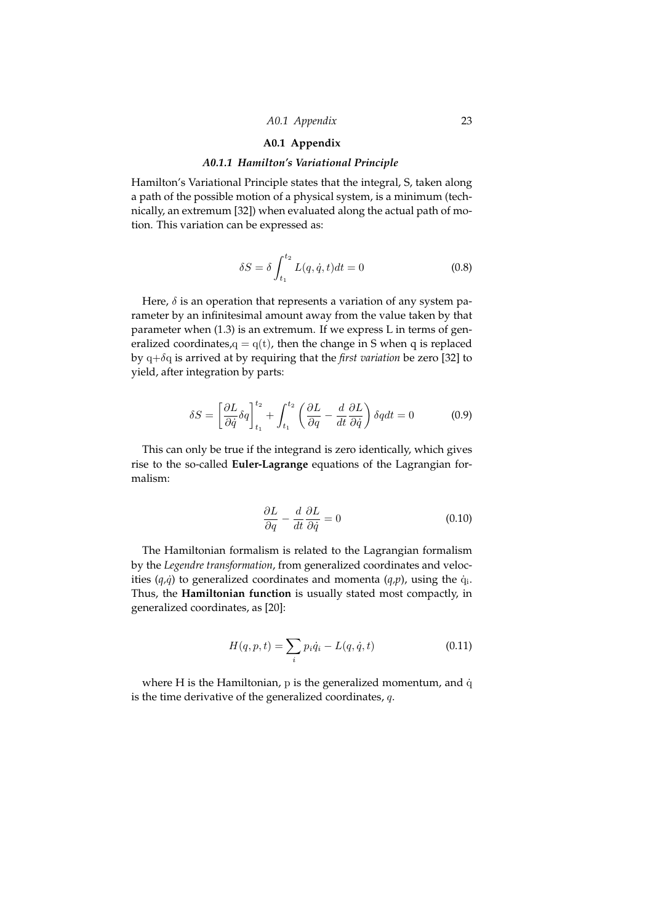# *A0.1 Appendix* 23

# **A0.1 Appendix**

# *A0.1.1 Hamilton's Variational Principle*

Hamilton's Variational Principle states that the integral, S, taken along a path of the possible motion of a physical system, is a minimum (technically, an extremum [32]) when evaluated along the actual path of motion. This variation can be expressed as:

$$
\delta S = \delta \int_{t_1}^{t_2} L(q, \dot{q}, t) dt = 0 \qquad (0.8)
$$

Here,  $\delta$  is an operation that represents a variation of any system parameter by an infinitesimal amount away from the value taken by that parameter when (1.3) is an extremum. If we express L in terms of generalized coordinates, $q = q(t)$ , then the change in S when q is replaced by q+δq is arrived at by requiring that the *first variation* be zero [32] to yield, after integration by parts:

$$
\delta S = \left[\frac{\partial L}{\partial \dot{q}} \delta q\right]_{t_1}^{t_2} + \int_{t_1}^{t_2} \left(\frac{\partial L}{\partial q} - \frac{d}{dt} \frac{\partial L}{\partial \dot{q}}\right) \delta q dt = 0 \tag{0.9}
$$

This can only be true if the integrand is zero identically, which gives rise to the so-called **Euler-Lagrange** equations of the Lagrangian formalism:

$$
\frac{\partial L}{\partial q} - \frac{d}{dt} \frac{\partial L}{\partial \dot{q}} = 0 \tag{0.10}
$$

The Hamiltonian formalism is related to the Lagrangian formalism by the *Legendre transformation*, from generalized coordinates and velocities  $(q,\dot{q})$  to generalized coordinates and momenta  $(q,p)$ , using the  $\dot{q}_i$ . Thus, the **Hamiltonian function** is usually stated most compactly, in generalized coordinates, as [20]:

$$
H(q, p, t) = \sum_{i} p_i \dot{q}_i - L(q, \dot{q}, t)
$$
\n(0.11)

where H is the Hamiltonian,  $p$  is the generalized momentum, and  $\dot{q}$ is the time derivative of the generalized coordinates,  $q$ .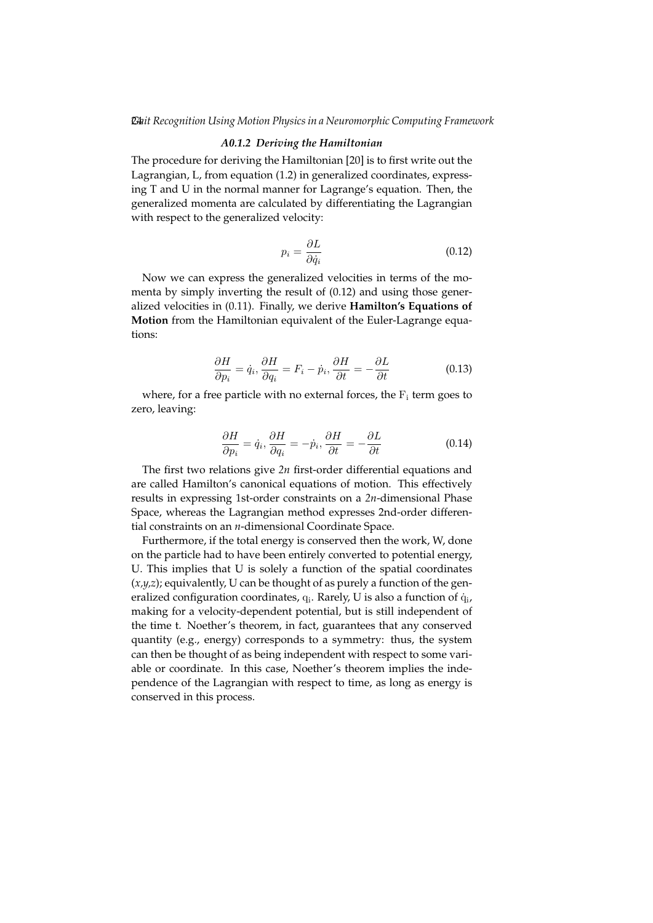# *A0.1.2 Deriving the Hamiltonian*

The procedure for deriving the Hamiltonian [20] is to first write out the Lagrangian, L, from equation (1.2) in generalized coordinates, expressing T and U in the normal manner for Lagrange's equation. Then, the generalized momenta are calculated by differentiating the Lagrangian with respect to the generalized velocity:

$$
p_i = \frac{\partial L}{\partial \dot{q}_i} \tag{0.12}
$$

Now we can express the generalized velocities in terms of the momenta by simply inverting the result of (0.12) and using those generalized velocities in (0.11). Finally, we derive **Hamilton's Equations of Motion** from the Hamiltonian equivalent of the Euler-Lagrange equations:

$$
\frac{\partial H}{\partial p_i} = \dot{q}_i, \frac{\partial H}{\partial q_i} = F_i - \dot{p}_i, \frac{\partial H}{\partial t} = -\frac{\partial L}{\partial t}
$$
(0.13)

where, for a free particle with no external forces, the  $F_i$  term goes to zero, leaving:

$$
\frac{\partial H}{\partial p_i} = \dot{q}_i, \frac{\partial H}{\partial q_i} = -\dot{p}_i, \frac{\partial H}{\partial t} = -\frac{\partial L}{\partial t}
$$
(0.14)

The first two relations give *2n* first-order differential equations and are called Hamilton's canonical equations of motion. This effectively results in expressing 1st-order constraints on a *2n*-dimensional Phase Space, whereas the Lagrangian method expresses 2nd-order differential constraints on an *n*-dimensional Coordinate Space.

Furthermore, if the total energy is conserved then the work, W, done on the particle had to have been entirely converted to potential energy, U. This implies that U is solely a function of the spatial coordinates  $(x,y,z)$ ; equivalently, U can be thought of as purely a function of the generalized configuration coordinates,  $q_i$ . Rarely, U is also a function of  $\dot{q}_i$ , making for a velocity-dependent potential, but is still independent of the time t. Noether's theorem, in fact, guarantees that any conserved quantity (e.g., energy) corresponds to a symmetry: thus, the system can then be thought of as being independent with respect to some variable or coordinate. In this case, Noether's theorem implies the independence of the Lagrangian with respect to time, as long as energy is conserved in this process.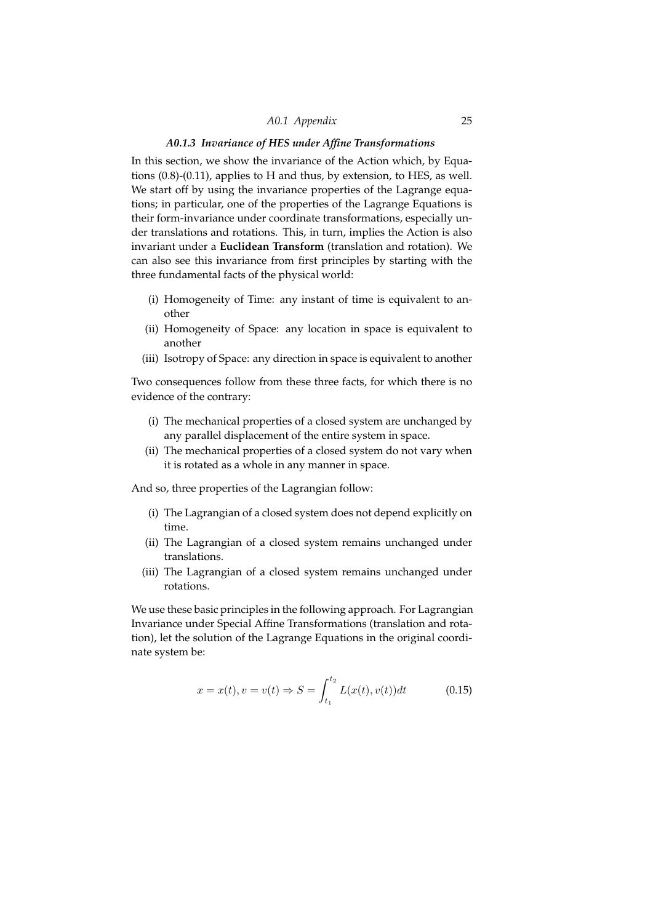# *A0.1 Appendix* 25

# *A0.1.3 Invariance of HES under Affine Transformations*

In this section, we show the invariance of the Action which, by Equations (0.8)-(0.11), applies to H and thus, by extension, to HES, as well. We start off by using the invariance properties of the Lagrange equations; in particular, one of the properties of the Lagrange Equations is their form-invariance under coordinate transformations, especially under translations and rotations. This, in turn, implies the Action is also invariant under a **Euclidean Transform** (translation and rotation). We can also see this invariance from first principles by starting with the three fundamental facts of the physical world:

- (i) Homogeneity of Time: any instant of time is equivalent to another
- (ii) Homogeneity of Space: any location in space is equivalent to another
- (iii) Isotropy of Space: any direction in space is equivalent to another

Two consequences follow from these three facts, for which there is no evidence of the contrary:

- (i) The mechanical properties of a closed system are unchanged by any parallel displacement of the entire system in space.
- (ii) The mechanical properties of a closed system do not vary when it is rotated as a whole in any manner in space.

And so, three properties of the Lagrangian follow:

- (i) The Lagrangian of a closed system does not depend explicitly on time.
- (ii) The Lagrangian of a closed system remains unchanged under translations.
- (iii) The Lagrangian of a closed system remains unchanged under rotations.

We use these basic principles in the following approach. For Lagrangian Invariance under Special Affine Transformations (translation and rotation), let the solution of the Lagrange Equations in the original coordinate system be:

$$
x = x(t), v = v(t) \Rightarrow S = \int_{t_1}^{t_2} L(x(t), v(t))dt
$$
 (0.15)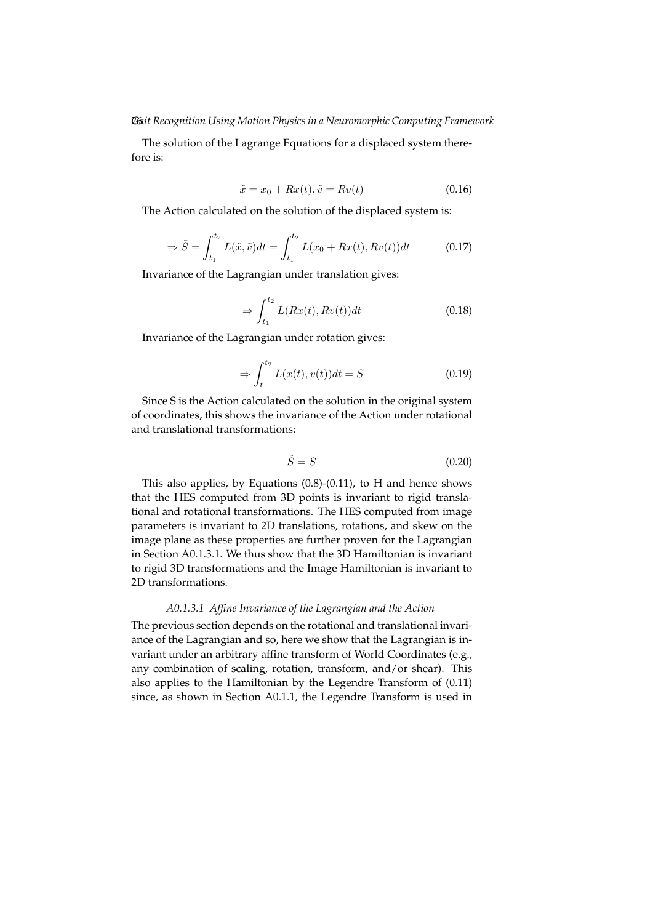The solution of the Lagrange Equations for a displaced system therefore is:

$$
\tilde{x} = x_0 + Rx(t), \tilde{v} = Rv(t) \tag{0.16}
$$

The Action calculated on the solution of the displaced system is:

$$
\Rightarrow \tilde{S} = \int_{t_1}^{t_2} L(\tilde{x}, \tilde{v}) dt = \int_{t_1}^{t_2} L(x_0 + Rx(t), Rv(t)) dt \tag{0.17}
$$

Invariance of the Lagrangian under translation gives:

$$
\Rightarrow \int_{t_1}^{t_2} L(Rx(t), Rv(t))dt \tag{0.18}
$$

Invariance of the Lagrangian under rotation gives:

$$
\Rightarrow \int_{t_1}^{t_2} L(x(t), v(t))dt = S \tag{0.19}
$$

Since S is the Action calculated on the solution in the original system of coordinates, this shows the invariance of the Action under rotational and translational transformations:

$$
\tilde{S} = S \tag{0.20}
$$

This also applies, by Equations (0.8)-(0.11), to H and hence shows that the HES computed from 3D points is invariant to rigid translational and rotational transformations. The HES computed from image parameters is invariant to 2D translations, rotations, and skew on the image plane as these properties are further proven for the Lagrangian in Section A0.1.3.1. We thus show that the 3D Hamiltonian is invariant to rigid 3D transformations and the Image Hamiltonian is invariant to 2D transformations.

# *A0.1.3.1 Affine Invariance of the Lagrangian and the Action*

The previous section depends on the rotational and translational invariance of the Lagrangian and so, here we show that the Lagrangian is invariant under an arbitrary affine transform of World Coordinates (e.g., any combination of scaling, rotation, transform, and/or shear). This also applies to the Hamiltonian by the Legendre Transform of (0.11) since, as shown in Section A0.1.1, the Legendre Transform is used in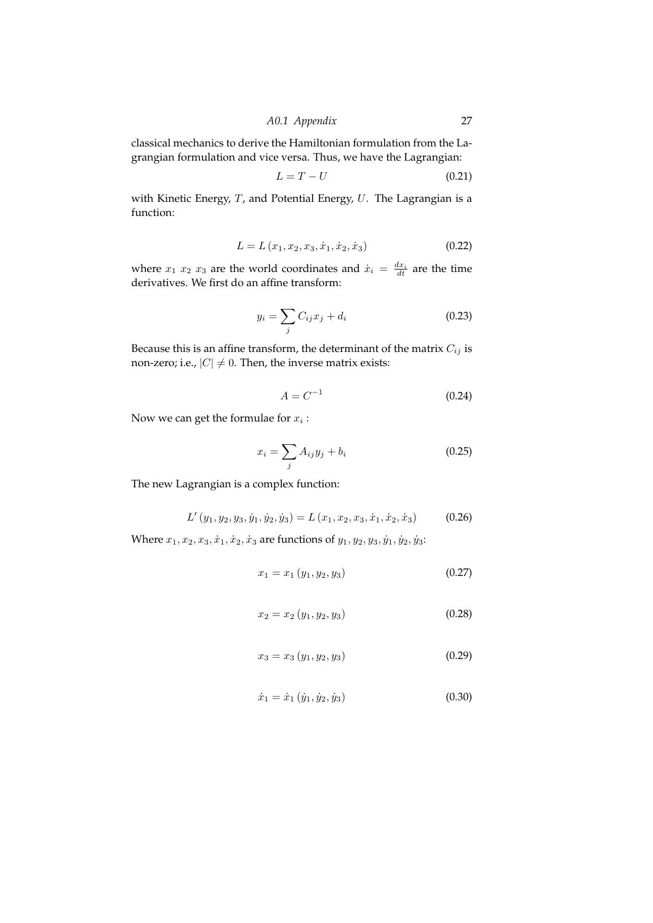*A0.1 Appendix* 27

classical mechanics to derive the Hamiltonian formulation from the Lagrangian formulation and vice versa. Thus, we have the Lagrangian:

$$
L = T - U \tag{0.21}
$$

with Kinetic Energy,  $T$ , and Potential Energy,  $U$ . The Lagrangian is a function:

$$
L = L(x_1, x_2, x_3, \dot{x}_1, \dot{x}_2, \dot{x}_3)
$$
 (0.22)

where  $x_1$   $x_2$   $x_3$  are the world coordinates and  $\dot{x}_i = \frac{dx_i}{dt}$  are the time derivatives. We first do an affine transform:

$$
y_i = \sum_j C_{ij} x_j + d_i \tag{0.23}
$$

Because this is an affine transform, the determinant of the matrix  $C_{ij}$  is non-zero; i.e.,  $|C| \neq 0.$  Then, the inverse matrix exists:

$$
A = C^{-1} \tag{0.24}
$$

Now we can get the formulae for  $x_i$  :

$$
x_i = \sum_j A_{ij} y_j + b_i \tag{0.25}
$$

The new Lagrangian is a complex function:

$$
L'(y_1, y_2, y_3, \dot{y}_1, \dot{y}_2, \dot{y}_3) = L(x_1, x_2, x_3, \dot{x}_1, \dot{x}_2, \dot{x}_3)
$$
(0.26)

Where  $x_1, x_2, x_3, \dot{x}_1, \dot{x}_2, \dot{x}_3$  are functions of  $y_1, y_2, y_3, \dot{y}_1, \dot{y}_2, \dot{y}_3$ :

$$
x_1 = x_1 \left( y_1, y_2, y_3 \right) \tag{0.27}
$$

$$
x_2 = x_2 \left( y_1, y_2, y_3 \right) \tag{0.28}
$$

$$
x_3 = x_3 \left( y_1, y_2, y_3 \right) \tag{0.29}
$$

$$
\dot{x}_1 = \dot{x}_1 \left( \dot{y}_1, \dot{y}_2, \dot{y}_3 \right) \tag{0.30}
$$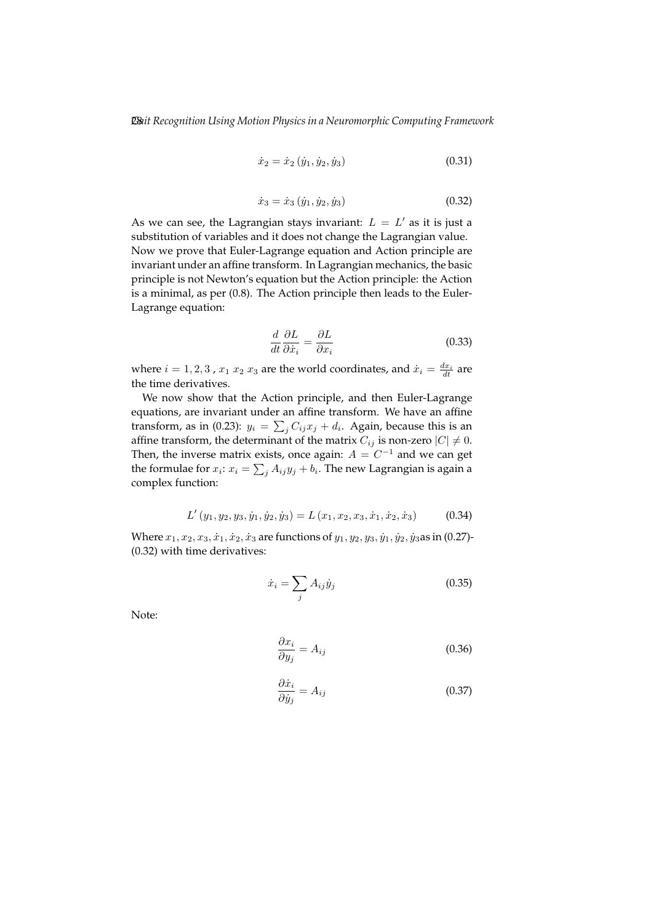$$
\dot{x}_2 = \dot{x}_2 \left( \dot{y}_1, \dot{y}_2, \dot{y}_3 \right) \tag{0.31}
$$

$$
\dot{x}_3 = \dot{x}_3 \left( \dot{y}_1, \dot{y}_2, \dot{y}_3 \right) \tag{0.32}
$$

As we can see, the Lagrangian stays invariant:  $L = L'$  as it is just a substitution of variables and it does not change the Lagrangian value. Now we prove that Euler-Lagrange equation and Action principle are invariant under an affine transform. In Lagrangian mechanics, the basic principle is not Newton's equation but the Action principle: the Action is a minimal, as per (0.8). The Action principle then leads to the Euler-Lagrange equation:

$$
\frac{d}{dt}\frac{\partial L}{\partial \dot{x}_i} = \frac{\partial L}{\partial x_i} \tag{0.33}
$$

where  $i = 1, 2, 3$  ,  $x_1 \ x_2 \ x_3$  are the world coordinates, and  $\dot{x}_i = \frac{dx_i}{dt}$  are the time derivatives.

We now show that the Action principle, and then Euler-Lagrange equations, are invariant under an affine transform. We have an affine transform, as in (0.23):  $y_i = \sum_j C_{ij} x_j + d_i$ . Again, because this is an affine transform, the determinant of the matrix  $C_{ij}$  is non-zero  $|C| \neq 0$ . Then, the inverse matrix exists, once again:  $A = C^{-1}$  and we can get the formulae for  $x_i$ :  $x_i = \sum_j A_{ij}y_j + b_i$ . The new Lagrangian is again a complex function:

$$
L'(y_1, y_2, y_3, \dot{y}_1, \dot{y}_2, \dot{y}_3) = L(x_1, x_2, x_3, \dot{x}_1, \dot{x}_2, \dot{x}_3)
$$
(0.34)

Where  $x_1, x_2, x_3, \dot{x}_1, \dot{x}_2, \dot{x}_3$  are functions of  $y_1, y_2, y_3, \dot{y}_1, \dot{y}_2, \dot{y}_3$  as in (0.27)-(0.32) with time derivatives:

$$
\dot{x}_i = \sum_j A_{ij} \dot{y}_j \tag{0.35}
$$

Note:

$$
\frac{\partial x_i}{\partial y_j} = A_{ij} \tag{0.36}
$$

$$
\frac{\partial \dot{x}_i}{\partial \dot{y}_j} = A_{ij} \tag{0.37}
$$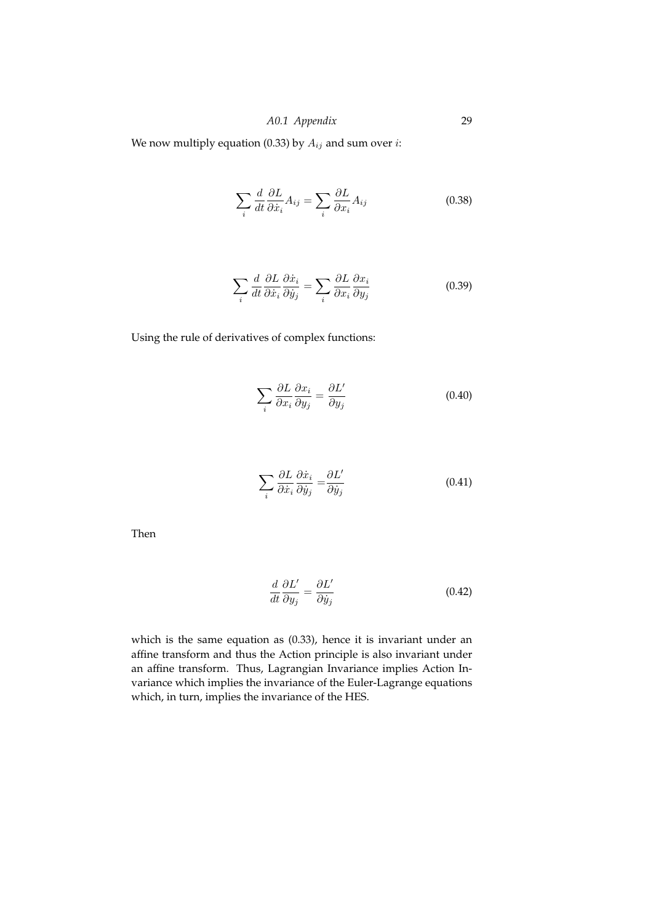We now multiply equation (0.33) by  $A_{ij}$  and sum over *i*:

$$
\sum_{i} \frac{d}{dt} \frac{\partial L}{\partial \dot{x}_i} A_{ij} = \sum_{i} \frac{\partial L}{\partial x_i} A_{ij}
$$
\n(0.38)

$$
\sum_{i} \frac{d}{dt} \frac{\partial L}{\partial \dot{x}_i} \frac{\partial \dot{x}_i}{\partial \dot{y}_j} = \sum_{i} \frac{\partial L}{\partial x_i} \frac{\partial x_i}{\partial y_j}
$$
(0.39)

Using the rule of derivatives of complex functions:

$$
\sum_{i} \frac{\partial L}{\partial x_i} \frac{\partial x_i}{\partial y_j} = \frac{\partial L'}{\partial y_j}
$$
\n(0.40)

$$
\sum_{i} \frac{\partial L}{\partial \dot{x}_i} \frac{\partial \dot{x}_i}{\partial \dot{y}_j} = \frac{\partial L'}{\partial \dot{y}_j}
$$
(0.41)

Then

$$
\frac{d}{dt}\frac{\partial L'}{\partial y_j} = \frac{\partial L'}{\partial \dot{y}_j} \tag{0.42}
$$

which is the same equation as (0.33), hence it is invariant under an affine transform and thus the Action principle is also invariant under an affine transform. Thus, Lagrangian Invariance implies Action Invariance which implies the invariance of the Euler-Lagrange equations which, in turn, implies the invariance of the HES.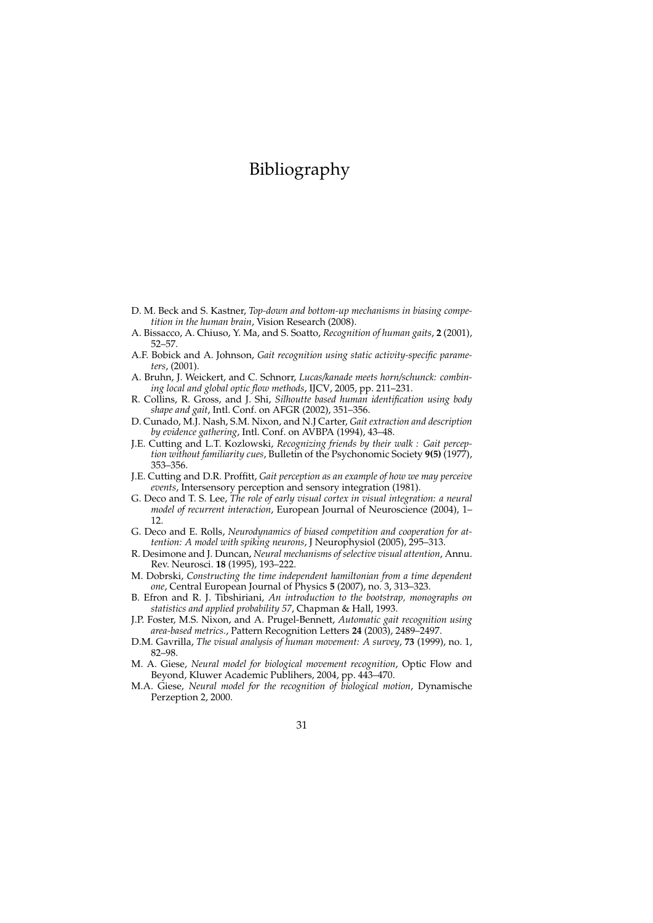# Bibliography

- D. M. Beck and S. Kastner, *Top-down and bottom-up mechanisms in biasing competition in the human brain*, Vision Research (2008).
- A. Bissacco, A. Chiuso, Y. Ma, and S. Soatto, *Recognition of human gaits*, **2** (2001), 52–57.
- A.F. Bobick and A. Johnson, *Gait recognition using static activity-specific parameters*, (2001).
- A. Bruhn, J. Weickert, and C. Schnorr, *Lucas/kanade meets horn/schunck: combining local and global optic flow methods*, IJCV, 2005, pp. 211–231.
- R. Collins, R. Gross, and J. Shi, *Silhoutte based human identification using body shape and gait*, Intl. Conf. on AFGR (2002), 351–356.
- D. Cunado, M.J. Nash, S.M. Nixon, and N.J Carter, *Gait extraction and description by evidence gathering*, Intl. Conf. on AVBPA (1994), 43–48.
- J.E. Cutting and L.T. Kozlowski, *Recognizing friends by their walk : Gait perception without familiarity cues*, Bulletin of the Psychonomic Society **9(5)** (1977), 353–356.
- J.E. Cutting and D.R. Proffitt, *Gait perception as an example of how we may perceive events*, Intersensory perception and sensory integration (1981).
- G. Deco and T. S. Lee, *The role of early visual cortex in visual integration: a neural model of recurrent interaction*, European Journal of Neuroscience (2004), 1– 12.
- G. Deco and E. Rolls, *Neurodynamics of biased competition and cooperation for attention: A model with spiking neurons*, J Neurophysiol (2005), 295–313.
- R. Desimone and J. Duncan, *Neural mechanisms of selective visual attention*, Annu. Rev. Neurosci. **18** (1995), 193–222.
- M. Dobrski, *Constructing the time independent hamiltonian from a time dependent one*, Central European Journal of Physics **5** (2007), no. 3, 313–323.
- B. Efron and R. J. Tibshiriani, *An introduction to the bootstrap, monographs on statistics and applied probability 57*, Chapman & Hall, 1993.
- J.P. Foster, M.S. Nixon, and A. Prugel-Bennett, *Automatic gait recognition using area-based metrics.*, Pattern Recognition Letters **24** (2003), 2489–2497.
- D.M. Gavrilla, *The visual analysis of human movement: A survey*, **73** (1999), no. 1, 82–98.
- M. A. Giese, *Neural model for biological movement recognition*, Optic Flow and Beyond, Kluwer Academic Publihers, 2004, pp. 443–470.
- M.A. Giese, *Neural model for the recognition of biological motion*, Dynamische Perzeption 2, 2000.
	- 31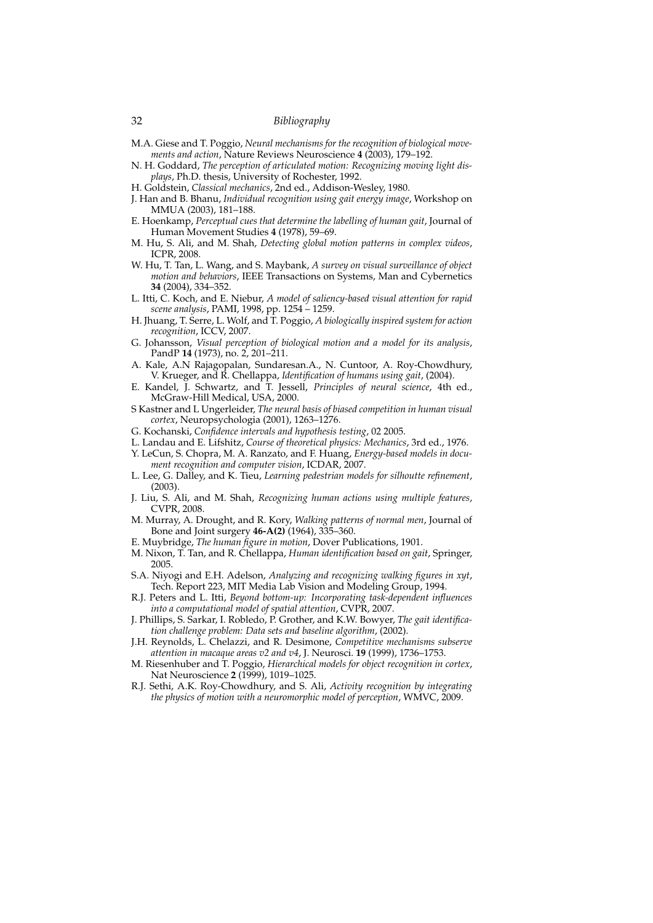#### 32 *Bibliography*

- M.A. Giese and T. Poggio, *Neural mechanisms for the recognition of biological movements and action*, Nature Reviews Neuroscience **4** (2003), 179–192.
- N. H. Goddard, *The perception of articulated motion: Recognizing moving light displays*, Ph.D. thesis, University of Rochester, 1992.
- H. Goldstein, *Classical mechanics*, 2nd ed., Addison-Wesley, 1980.
- J. Han and B. Bhanu, *Individual recognition using gait energy image*, Workshop on MMUA (2003), 181–188.
- E. Hoenkamp, *Perceptual cues that determine the labelling of human gait*, Journal of Human Movement Studies **4** (1978), 59–69.
- M. Hu, S. Ali, and M. Shah, *Detecting global motion patterns in complex videos*, ICPR, 2008.
- W. Hu, T. Tan, L. Wang, and S. Maybank, *A survey on visual surveillance of object motion and behaviors*, IEEE Transactions on Systems, Man and Cybernetics **34** (2004), 334–352.
- L. Itti, C. Koch, and E. Niebur, *A model of saliency-based visual attention for rapid scene analysis*, PAMI, 1998, pp. 1254 – 1259.
- H. Jhuang, T. Serre, L. Wolf, and T. Poggio, *A biologically inspired system for action recognition*, ICCV, 2007.
- G. Johansson, *Visual perception of biological motion and a model for its analysis*, PandP **14** (1973), no. 2, 201–211.
- A. Kale, A.N Rajagopalan, Sundaresan.A., N. Cuntoor, A. Roy-Chowdhury, V. Krueger, and R. Chellappa, *Identification of humans using gait*, (2004).
- E. Kandel, J. Schwartz, and T. Jessell, *Principles of neural science*, 4th ed., McGraw-Hill Medical, USA, 2000.
- S Kastner and L Ungerleider, *The neural basis of biased competition in human visual cortex*, Neuropsychologia (2001), 1263–1276.
- G. Kochanski, *Confidence intervals and hypothesis testing*, 02 2005.
- L. Landau and E. Lifshitz, *Course of theoretical physics: Mechanics*, 3rd ed., 1976.
- Y. LeCun, S. Chopra, M. A. Ranzato, and F. Huang, *Energy-based models in document recognition and computer vision*, ICDAR, 2007.
- L. Lee, G. Dalley, and K. Tieu, *Learning pedestrian models for silhoutte refinement*, (2003).
- J. Liu, S. Ali, and M. Shah, *Recognizing human actions using multiple features*, CVPR, 2008.
- M. Murray, A. Drought, and R. Kory, *Walking patterns of normal men*, Journal of Bone and Joint surgery **46-A(2)** (1964), 335–360.
- E. Muybridge, *The human figure in motion*, Dover Publications, 1901.
- M. Nixon, T. Tan, and R. Chellappa, *Human identification based on gait*, Springer, 2005.
- S.A. Niyogi and E.H. Adelson, *Analyzing and recognizing walking figures in xyt*, Tech. Report 223, MIT Media Lab Vision and Modeling Group, 1994.
- R.J. Peters and L. Itti, *Beyond bottom-up: Incorporating task-dependent influences into a computational model of spatial attention*, CVPR, 2007.
- J. Phillips, S. Sarkar, I. Robledo, P. Grother, and K.W. Bowyer, *The gait identification challenge problem: Data sets and baseline algorithm*, (2002).
- J.H. Reynolds, L. Chelazzi, and R. Desimone, *Competitive mechanisms subserve attention in macaque areas v2 and v4*, J. Neurosci. **19** (1999), 1736–1753.
- M. Riesenhuber and T. Poggio, *Hierarchical models for object recognition in cortex*, Nat Neuroscience **2** (1999), 1019–1025.
- R.J. Sethi, A.K. Roy-Chowdhury, and S. Ali, *Activity recognition by integrating the physics of motion with a neuromorphic model of perception*, WMVC, 2009.